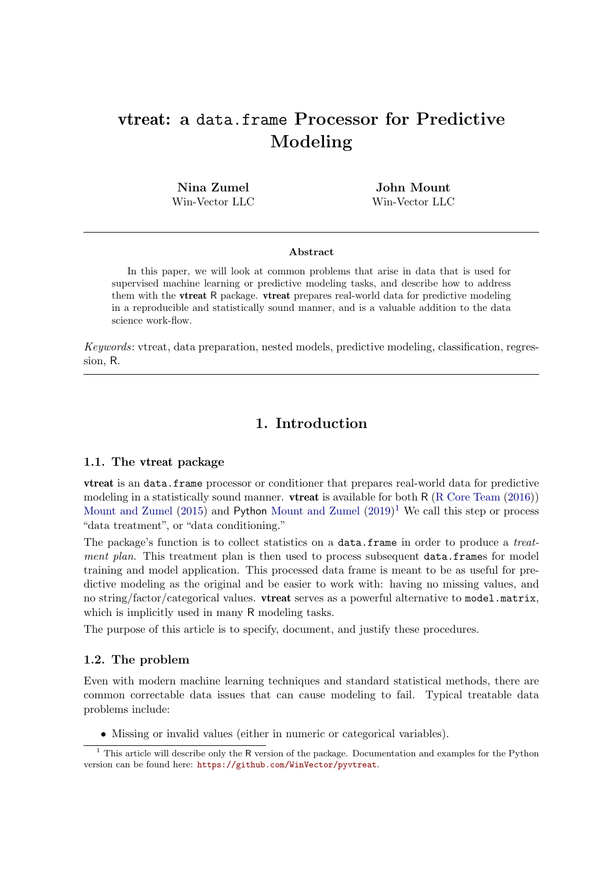# vtreat: a data.frame Processor for Predictive Modeling

Nina Zumel Win-Vector LLC

John Mount Win-Vector LLC

#### Abstract

In this paper, we will look at common problems that arise in data that is used for supervised machine learning or predictive modeling tasks, and describe how to address them with the vtreat R package. vtreat prepares real-world data for predictive modeling in a reproducible and statistically sound manner, and is a valuable addition to the data science work-flow.

Keywords: vtreat, data preparation, nested models, predictive modeling, classification, regression, R.

# 1. Introduction

#### 1.1. The vtreat package

vtreat is an data.frame processor or conditioner that prepares real-world data for predictive modeling in a statistically sound manner. **vtreat** is available for both R [\(R Core Team](#page-34-0) [\(2016\)](#page-34-0)) [Mount and Zumel](#page-34-2) [\(2015\)](#page-34-1) and Python Mount and Zumel  $(2019)^1$  $(2019)^1$  $(2019)^1$  We call this step or process "data treatment", or "data conditioning."

The package's function is to collect statistics on a data.frame in order to produce a *treat*ment plan. This treatment plan is then used to process subsequent data.frames for model training and model application. This processed data frame is meant to be as useful for predictive modeling as the original and be easier to work with: having no missing values, and no string/factor/categorical values. **vtreat** serves as a powerful alternative to model.matrix, which is implicitly used in many R modeling tasks.

The purpose of this article is to specify, document, and justify these procedures.

#### 1.2. The problem

Even with modern machine learning techniques and standard statistical methods, there are common correctable data issues that can cause modeling to fail. Typical treatable data problems include:

<span id="page-0-0"></span>• Missing or invalid values (either in numeric or categorical variables).

<sup>&</sup>lt;sup>1</sup> This article will describe only the R version of the package. Documentation and examples for the Python version can be found here: <https://github.com/WinVector/pyvtreat>.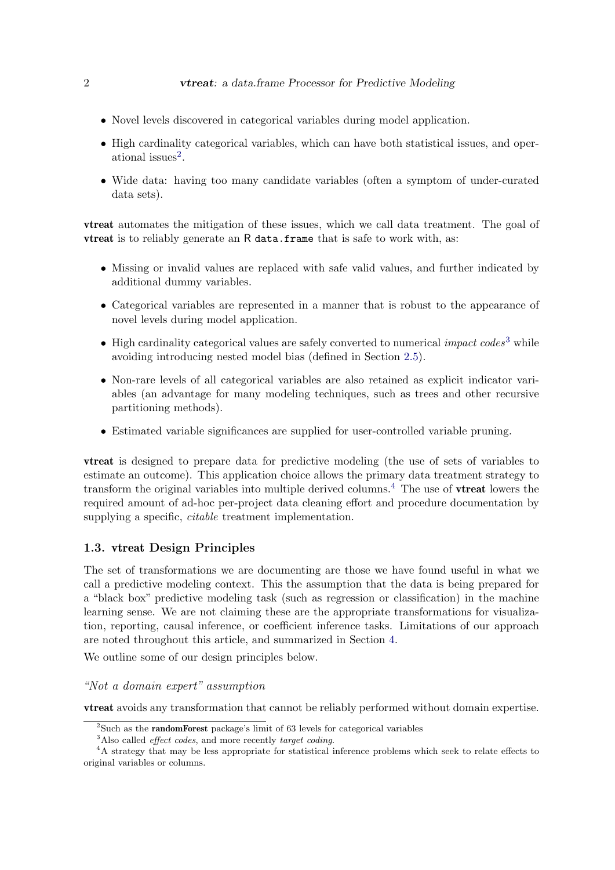- Novel levels discovered in categorical variables during model application.
- High cardinality categorical variables, which can have both statistical issues, and oper-ational issues<sup>[2](#page-1-0)</sup>.
- Wide data: having too many candidate variables (often a symptom of under-curated data sets).

vtreat automates the mitigation of these issues, which we call data treatment. The goal of vtreat is to reliably generate an R data.frame that is safe to work with, as:

- Missing or invalid values are replaced with safe valid values, and further indicated by additional dummy variables.
- Categorical variables are represented in a manner that is robust to the appearance of novel levels during model application.
- High cardinality categorical values are safely converted to numerical *impact codes*<sup>[3](#page-1-1)</sup> while avoiding introducing nested model bias (defined in Section [2.5\)](#page-12-0).
- Non-rare levels of all categorical variables are also retained as explicit indicator variables (an advantage for many modeling techniques, such as trees and other recursive partitioning methods).
- Estimated variable significances are supplied for user-controlled variable pruning.

vtreat is designed to prepare data for predictive modeling (the use of sets of variables to estimate an outcome). This application choice allows the primary data treatment strategy to transform the original variables into multiple derived columns.<sup>[4](#page-1-2)</sup> The use of **vtreat** lowers the required amount of ad-hoc per-project data cleaning effort and procedure documentation by supplying a specific, *citable* treatment implementation.

# 1.3. vtreat Design Principles

The set of transformations we are documenting are those we have found useful in what we call a predictive modeling context. This the assumption that the data is being prepared for a "black box" predictive modeling task (such as regression or classification) in the machine learning sense. We are not claiming these are the appropriate transformations for visualization, reporting, causal inference, or coefficient inference tasks. Limitations of our approach are noted throughout this article, and summarized in Section [4.](#page-32-0)

We outline some of our design principles below.

# "Not a domain expert" assumption

vtreat avoids any transformation that cannot be reliably performed without domain expertise.

<span id="page-1-0"></span><sup>&</sup>lt;sup>2</sup>Such as the **randomForest** package's limit of 63 levels for categorical variables

<span id="page-1-2"></span><span id="page-1-1"></span><sup>&</sup>lt;sup>3</sup>Also called *effect codes*, and more recently *target coding*.

<sup>&</sup>lt;sup>4</sup>A strategy that may be less appropriate for statistical inference problems which seek to relate effects to original variables or columns.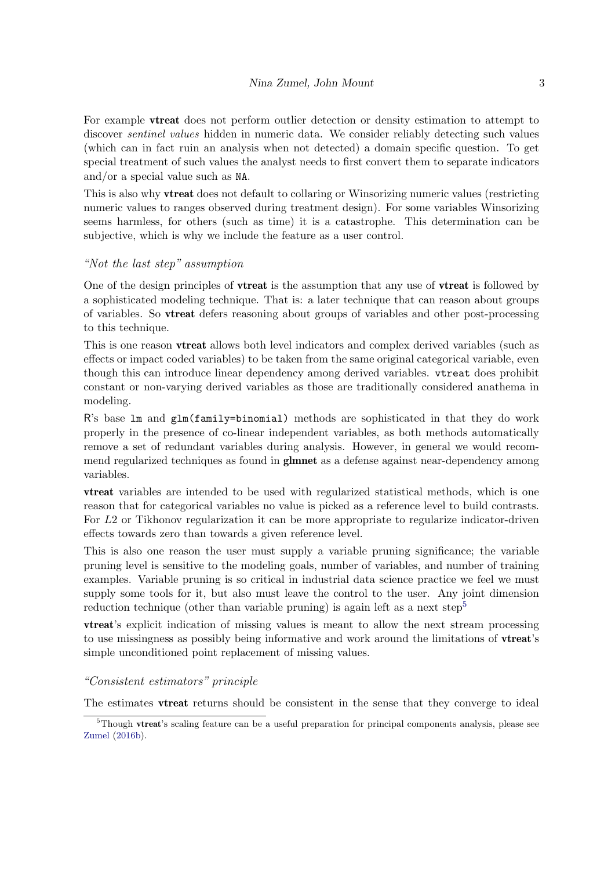For example **vtreat** does not perform outlier detection or density estimation to attempt to discover sentinel values hidden in numeric data. We consider reliably detecting such values (which can in fact ruin an analysis when not detected) a domain specific question. To get special treatment of such values the analyst needs to first convert them to separate indicators and/or a special value such as NA.

This is also why vtreat does not default to collaring or Winsorizing numeric values (restricting numeric values to ranges observed during treatment design). For some variables Winsorizing seems harmless, for others (such as time) it is a catastrophe. This determination can be subjective, which is why we include the feature as a user control.

# "Not the last step" assumption

One of the design principles of **vireat** is the assumption that any use of **vireat** is followed by a sophisticated modeling technique. That is: a later technique that can reason about groups of variables. So vtreat defers reasoning about groups of variables and other post-processing to this technique.

This is one reason vtreat allows both level indicators and complex derived variables (such as effects or impact coded variables) to be taken from the same original categorical variable, even though this can introduce linear dependency among derived variables. vtreat does prohibit constant or non-varying derived variables as those are traditionally considered anathema in modeling.

R's base lm and glm(family=binomial) methods are sophisticated in that they do work properly in the presence of co-linear independent variables, as both methods automatically remove a set of redundant variables during analysis. However, in general we would recommend regularized techniques as found in **glmnet** as a defense against near-dependency among variables.

vtreat variables are intended to be used with regularized statistical methods, which is one reason that for categorical variables no value is picked as a reference level to build contrasts. For L2 or Tikhonov regularization it can be more appropriate to regularize indicator-driven effects towards zero than towards a given reference level.

This is also one reason the user must supply a variable pruning significance; the variable pruning level is sensitive to the modeling goals, number of variables, and number of training examples. Variable pruning is so critical in industrial data science practice we feel we must supply some tools for it, but also must leave the control to the user. Any joint dimension reduction technique (other than variable pruning) is again left as a next step<sup>[5](#page-2-0)</sup>

vtreat's explicit indication of missing values is meant to allow the next stream processing to use missingness as possibly being informative and work around the limitations of vtreat's simple unconditioned point replacement of missing values.

#### "Consistent estimators" principle

The estimates vtreat returns should be consistent in the sense that they converge to ideal

<span id="page-2-0"></span><sup>&</sup>lt;sup>5</sup>Though vtreat's scaling feature can be a useful preparation for principal components analysis, please see [Zumel](#page-34-3) [\(2016b\)](#page-34-3).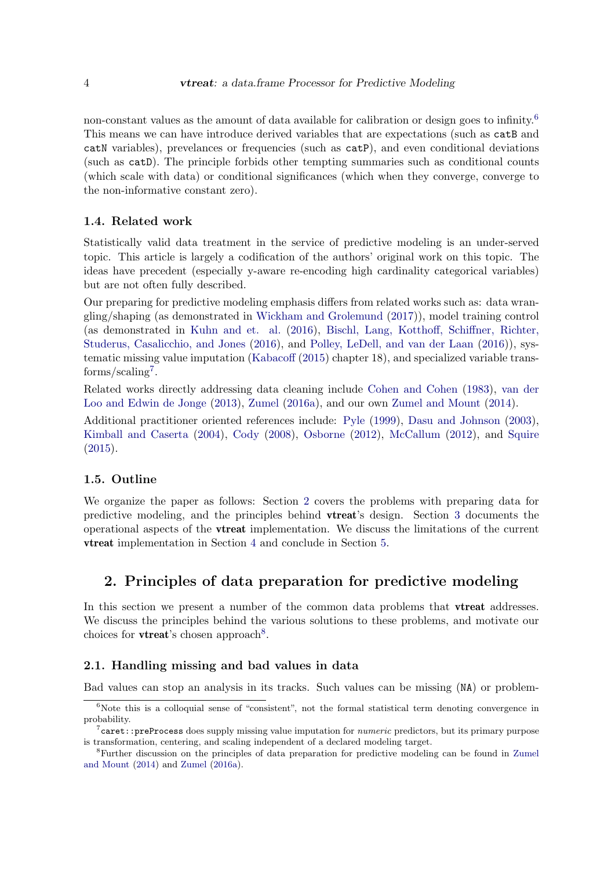non-constant values as the amount of data available for calibration or design goes to infinity.<sup>[6](#page-3-0)</sup> This means we can have introduce derived variables that are expectations (such as  $\text{catB}$  and catN variables), prevelances or frequencies (such as catP), and even conditional deviations (such as catD). The principle forbids other tempting summaries such as conditional counts (which scale with data) or conditional significances (which when they converge, converge to the non-informative constant zero).

# 1.4. Related work

Statistically valid data treatment in the service of predictive modeling is an under-served topic. This article is largely a codification of the authors' original work on this topic. The ideas have precedent (especially y-aware re-encoding high cardinality categorical variables) but are not often fully described.

Our preparing for predictive modeling emphasis differs from related works such as: data wrangling/shaping (as demonstrated in [Wickham and Grolemund](#page-34-4) [\(2017\)](#page-34-4)), model training control (as demonstrated in [Kuhn and et. al.](#page-33-0) [\(2016\)](#page-33-0), [Bischl, Lang, Kotthoff, Schiffner, Richter,](#page-33-1) [Studerus, Casalicchio, and Jones](#page-33-1) [\(2016\)](#page-33-1), and [Polley, LeDell, and van der Laan](#page-34-5) [\(2016\)](#page-34-5)), systematic missing value imputation [\(Kabacoff](#page-33-2) [\(2015\)](#page-33-2) chapter 18), and specialized variable trans- $forms/scaling<sup>7</sup>.$  $forms/scaling<sup>7</sup>.$  $forms/scaling<sup>7</sup>.$ 

Related works directly addressing data cleaning include [Cohen and Cohen](#page-33-3) [\(1983\)](#page-33-3), [van der](#page-34-6) [Loo and Edwin de Jonge](#page-34-6) [\(2013\)](#page-34-6), [Zumel](#page-34-7) [\(2016a\)](#page-34-7), and our own [Zumel and Mount](#page-35-0) [\(2014\)](#page-35-0).

Additional practitioner oriented references include: [Pyle](#page-34-8) [\(1999\)](#page-34-8), [Dasu and Johnson](#page-33-4) [\(2003\)](#page-33-4), [Kimball and Caserta](#page-33-5) [\(2004\)](#page-33-5), [Cody](#page-33-6) [\(2008\)](#page-33-6), [Osborne](#page-34-9) [\(2012\)](#page-34-9), [McCallum](#page-33-7) [\(2012\)](#page-33-7), and [Squire](#page-34-10)  $(2015).$  $(2015).$ 

# 1.5. Outline

We organize the paper as follows: Section [2](#page-3-2) covers the problems with preparing data for predictive modeling, and the principles behind vtreat's design. Section [3](#page-23-0) documents the operational aspects of the vtreat implementation. We discuss the limitations of the current vtreat implementation in Section [4](#page-32-0) and conclude in Section [5.](#page-33-8)

# <span id="page-3-2"></span>2. Principles of data preparation for predictive modeling

In this section we present a number of the common data problems that **vireat** addresses. We discuss the principles behind the various solutions to these problems, and motivate our choices for **vtreat**'s chosen approach<sup>[8](#page-3-3)</sup>.

# 2.1. Handling missing and bad values in data

Bad values can stop an analysis in its tracks. Such values can be missing (NA) or problem-

<span id="page-3-0"></span> $6$ Note this is a colloquial sense of "consistent", not the formal statistical term denoting convergence in probability.

<span id="page-3-1"></span> $7$ caret::preProcess does supply missing value imputation for *numeric* predictors, but its primary purpose is transformation, centering, and scaling independent of a declared modeling target.

<span id="page-3-3"></span><sup>8</sup>Further discussion on the principles of data preparation for predictive modeling can be found in [Zumel](#page-35-0) [and Mount](#page-35-0) [\(2014\)](#page-35-0) and [Zumel](#page-34-7) [\(2016a\)](#page-34-7).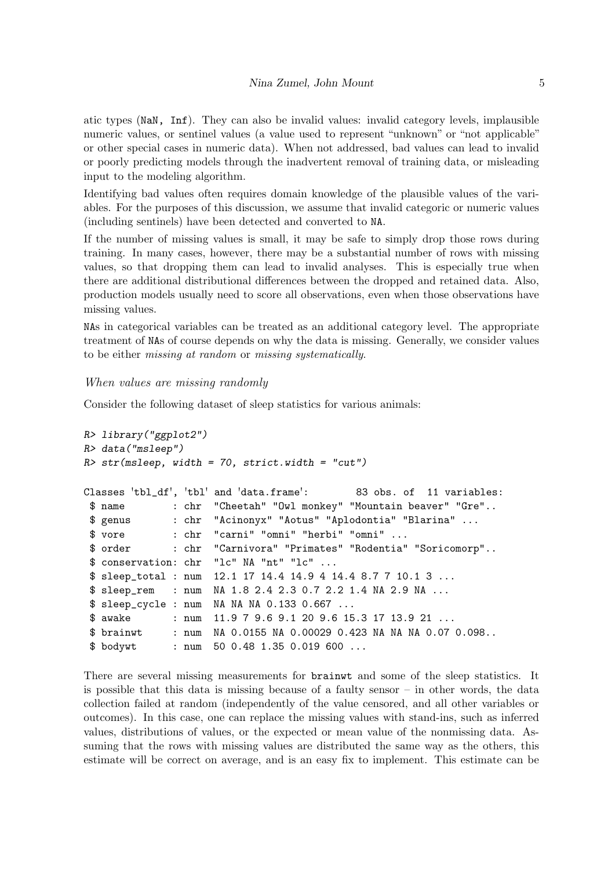atic types (NaN, Inf). They can also be invalid values: invalid category levels, implausible numeric values, or sentinel values (a value used to represent "unknown" or "not applicable" or other special cases in numeric data). When not addressed, bad values can lead to invalid or poorly predicting models through the inadvertent removal of training data, or misleading input to the modeling algorithm.

Identifying bad values often requires domain knowledge of the plausible values of the variables. For the purposes of this discussion, we assume that invalid categoric or numeric values (including sentinels) have been detected and converted to NA.

If the number of missing values is small, it may be safe to simply drop those rows during training. In many cases, however, there may be a substantial number of rows with missing values, so that dropping them can lead to invalid analyses. This is especially true when there are additional distributional differences between the dropped and retained data. Also, production models usually need to score all observations, even when those observations have missing values.

NAs in categorical variables can be treated as an additional category level. The appropriate treatment of NAs of course depends on why the data is missing. Generally, we consider values to be either missing at random or missing systematically.

#### When values are missing randomly

Consider the following dataset of sleep statistics for various animals:

```
R> library("ggplot2")
R> data("msleep")
R> str(msleep, width = 70, strict.width = "cut")
Classes 'tbl_df', 'tbl' and 'data.frame': 83 obs. of 11 variables:
$ name : chr "Cheetah" "Owl monkey" "Mountain beaver" "Gre"..
$ genus : chr "Acinonyx" "Aotus" "Aplodontia" "Blarina" ...
$ vore : chr "carni" "omni" "herbi" "omni" ...
$ order : chr "Carnivora" "Primates" "Rodentia" "Soricomorp"..
$ conservation: chr "lc" NA "nt" "lc" ...
$ sleep_total : num 12.1 17 14.4 14.9 4 14.4 8.7 7 10.1 3 ...
$ sleep_rem : num NA 1.8 2.4 2.3 0.7 2.2 1.4 NA 2.9 NA ...
$ sleep_cycle : num NA NA NA 0.133 0.667 ...
$ awake : num 11.9 7 9.6 9.1 20 9.6 15.3 17 13.9 21 ...
$ brainwt : num NA 0.0155 NA 0.00029 0.423 NA NA NA 0.07 0.098..
$ bodywt : num 50 0.48 1.35 0.019 600 ...
```
There are several missing measurements for brainwt and some of the sleep statistics. It is possible that this data is missing because of a faulty sensor – in other words, the data collection failed at random (independently of the value censored, and all other variables or outcomes). In this case, one can replace the missing values with stand-ins, such as inferred values, distributions of values, or the expected or mean value of the nonmissing data. Assuming that the rows with missing values are distributed the same way as the others, this estimate will be correct on average, and is an easy fix to implement. This estimate can be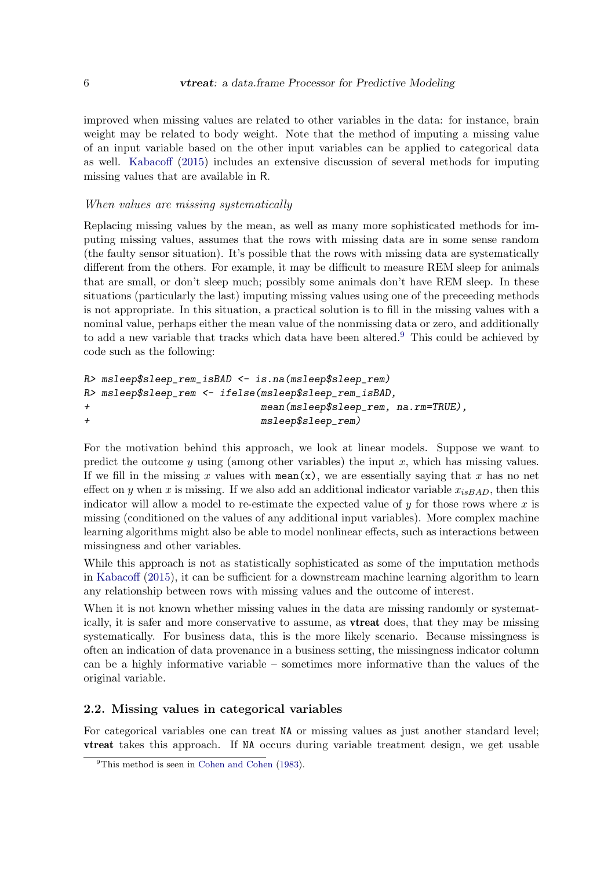improved when missing values are related to other variables in the data: for instance, brain weight may be related to body weight. Note that the method of imputing a missing value of an input variable based on the other input variables can be applied to categorical data as well. [Kabacoff](#page-33-2) [\(2015\)](#page-33-2) includes an extensive discussion of several methods for imputing missing values that are available in R.

# When values are missing systematically

Replacing missing values by the mean, as well as many more sophisticated methods for imputing missing values, assumes that the rows with missing data are in some sense random (the faulty sensor situation). It's possible that the rows with missing data are systematically different from the others. For example, it may be difficult to measure REM sleep for animals that are small, or don't sleep much; possibly some animals don't have REM sleep. In these situations (particularly the last) imputing missing values using one of the preceeding methods is not appropriate. In this situation, a practical solution is to fill in the missing values with a nominal value, perhaps either the mean value of the nonmissing data or zero, and additionally to add a new variable that tracks which data have been altered.[9](#page-5-0) This could be achieved by code such as the following:

```
R> msleep$sleep_rem_isBAD <- is.na(msleep$sleep_rem)
R> msleep$sleep_rem <- ifelse(msleep$sleep_rem_isBAD,
+ mean(msleep$sleep_rem, na.rm=TRUE),
+ msleep$sleep_rem)
```
For the motivation behind this approach, we look at linear models. Suppose we want to predict the outcome  $y$  using (among other variables) the input  $x$ , which has missing values. If we fill in the missing x values with mean(x), we are essentially saying that x has no net effect on y when x is missing. If we also add an additional indicator variable  $x_{isBAD}$ , then this indicator will allow a model to re-estimate the expected value of  $y$  for those rows where x is missing (conditioned on the values of any additional input variables). More complex machine learning algorithms might also be able to model nonlinear effects, such as interactions between missingness and other variables.

While this approach is not as statistically sophisticated as some of the imputation methods in [Kabacoff](#page-33-2) [\(2015\)](#page-33-2), it can be sufficient for a downstream machine learning algorithm to learn any relationship between rows with missing values and the outcome of interest.

When it is not known whether missing values in the data are missing randomly or systematically, it is safer and more conservative to assume, as vtreat does, that they may be missing systematically. For business data, this is the more likely scenario. Because missingness is often an indication of data provenance in a business setting, the missingness indicator column can be a highly informative variable – sometimes more informative than the values of the original variable.

# 2.2. Missing values in categorical variables

For categorical variables one can treat NA or missing values as just another standard level; vtreat takes this approach. If NA occurs during variable treatment design, we get usable

<span id="page-5-0"></span><sup>&</sup>lt;sup>9</sup>This method is seen in [Cohen and Cohen](#page-33-3) [\(1983\)](#page-33-3).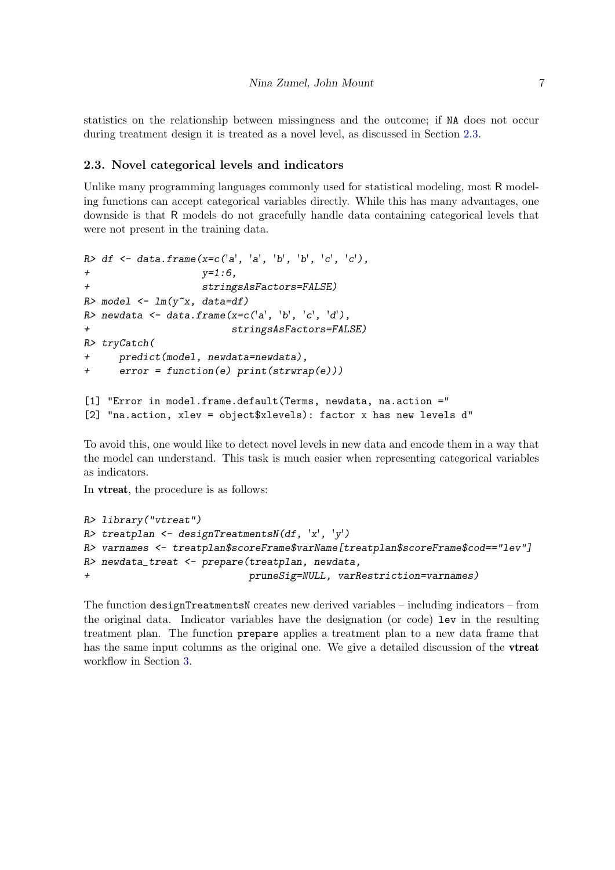statistics on the relationship between missingness and the outcome; if NA does not occur during treatment design it is treated as a novel level, as discussed in Section [2.3.](#page-6-0)

# <span id="page-6-0"></span>2.3. Novel categorical levels and indicators

Unlike many programming languages commonly used for statistical modeling, most R modeling functions can accept categorical variables directly. While this has many advantages, one downside is that R models do not gracefully handle data containing categorical levels that were not present in the training data.

```
R> df <- data.frame(x=c('a', 'a', 'b', 'b', 'c', 'c'),
+ y=1:6,
+ stringsAsFactors=FALSE)
R> model \leftarrow lm(y<sup>\sim</sup>x, data=df)
R > newdata <- data.frame(x=c('a', 'b', 'c', 'd'),
+ stringsAsFactors=FALSE)
R> tryCatch(
+ predict(model, newdata=newdata),
+ error = function(e) print(strwrap(e)))
[1] "Error in model.frame.default(Terms, newdata, na.action ="
[2] "na.action, xlev = object$xlevels): factor x has new levels d"
```
To avoid this, one would like to detect novel levels in new data and encode them in a way that the model can understand. This task is much easier when representing categorical variables as indicators.

In vtreat, the procedure is as follows:

```
R> library("vtreat")
R> treatplan <- designTreatmentsN(df, 'x', 'y')
R> varnames <- treatplan$scoreFrame$varName[treatplan$scoreFrame$cod=="lev"]
R> newdata_treat <- prepare(treatplan, newdata,
+ pruneSig=NULL, varRestriction=varnames)
```
The function designTreatmentsN creates new derived variables – including indicators – from the original data. Indicator variables have the designation (or code) lev in the resulting treatment plan. The function prepare applies a treatment plan to a new data frame that has the same input columns as the original one. We give a detailed discussion of the **vireat** workflow in Section [3.](#page-23-0)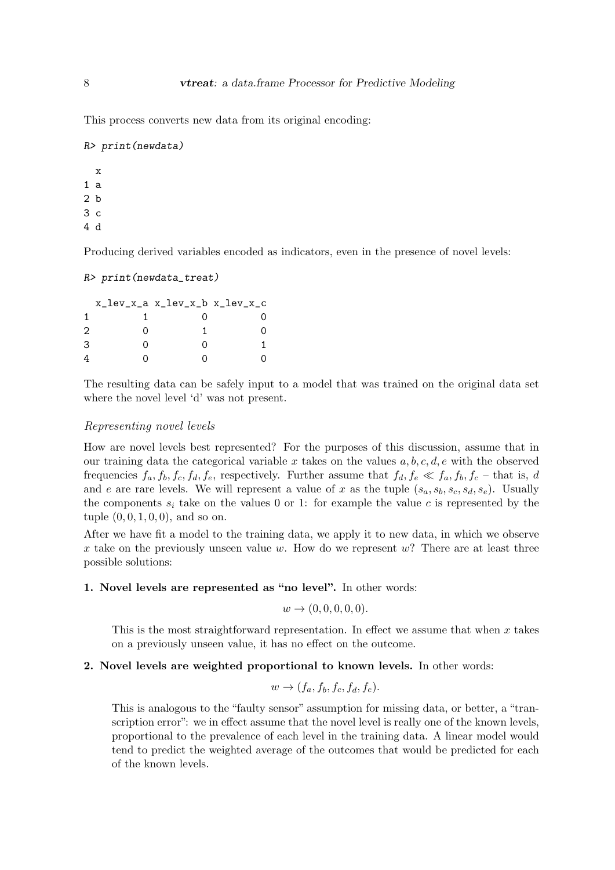This process converts new data from its original encoding:

```
R> print(newdata)
```
x 1 a 2 b 3 c 4 d

Producing derived variables encoded as indicators, even in the presence of novel levels:

```
R> print(newdata_treat)
```

|   |               | x_lev_x_a x_lev_x_b x_lev_x_c |  |
|---|---------------|-------------------------------|--|
|   |               |                               |  |
| 2 | $\cap$        |                               |  |
| 3 | $\mathcal{L}$ | Ω                             |  |
|   |               |                               |  |

The resulting data can be safely input to a model that was trained on the original data set where the novel level 'd' was not present.

#### Representing novel levels

How are novel levels best represented? For the purposes of this discussion, assume that in our training data the categorical variable x takes on the values  $a, b, c, d, e$  with the observed frequencies  $f_a, f_b, f_c, f_d, f_e$ , respectively. Further assume that  $f_d, f_e \ll f_a, f_b, f_c$  – that is, d and e are rare levels. We will represent a value of x as the tuple  $(s_a, s_b, s_c, s_d, s_e)$ . Usually the components  $s_i$  take on the values 0 or 1: for example the value c is represented by the tuple  $(0, 0, 1, 0, 0)$ , and so on.

After we have fit a model to the training data, we apply it to new data, in which we observe x take on the previously unseen value w. How do we represent  $w$ ? There are at least three possible solutions:

# 1. Novel levels are represented as "no level". In other words:

$$
w \to (0,0,0,0,0).
$$

This is the most straightforward representation. In effect we assume that when  $x$  takes on a previously unseen value, it has no effect on the outcome.

#### 2. Novel levels are weighted proportional to known levels. In other words:

$$
w \to (f_a, f_b, f_c, f_d, f_e).
$$

This is analogous to the "faulty sensor" assumption for missing data, or better, a "transcription error": we in effect assume that the novel level is really one of the known levels, proportional to the prevalence of each level in the training data. A linear model would tend to predict the weighted average of the outcomes that would be predicted for each of the known levels.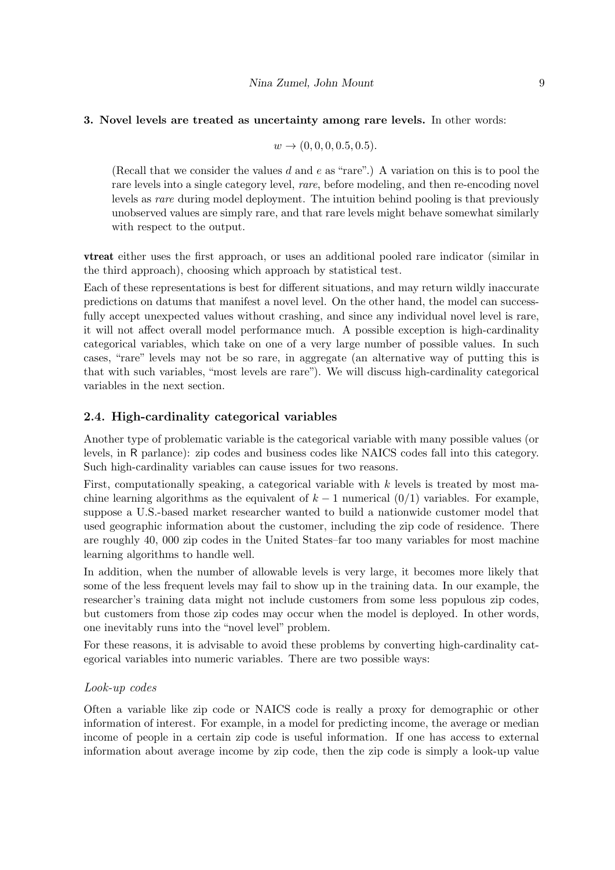#### 3. Novel levels are treated as uncertainty among rare levels. In other words:

$$
w \to (0, 0, 0, 0.5, 0.5).
$$

(Recall that we consider the values d and e as "rare".) A variation on this is to pool the rare levels into a single category level, rare, before modeling, and then re-encoding novel levels as rare during model deployment. The intuition behind pooling is that previously unobserved values are simply rare, and that rare levels might behave somewhat similarly with respect to the output.

vtreat either uses the first approach, or uses an additional pooled rare indicator (similar in the third approach), choosing which approach by statistical test.

Each of these representations is best for different situations, and may return wildly inaccurate predictions on datums that manifest a novel level. On the other hand, the model can successfully accept unexpected values without crashing, and since any individual novel level is rare, it will not affect overall model performance much. A possible exception is high-cardinality categorical variables, which take on one of a very large number of possible values. In such cases, "rare" levels may not be so rare, in aggregate (an alternative way of putting this is that with such variables, "most levels are rare"). We will discuss high-cardinality categorical variables in the next section.

# 2.4. High-cardinality categorical variables

Another type of problematic variable is the categorical variable with many possible values (or levels, in R parlance): zip codes and business codes like NAICS codes fall into this category. Such high-cardinality variables can cause issues for two reasons.

First, computationally speaking, a categorical variable with k levels is treated by most machine learning algorithms as the equivalent of  $k - 1$  numerical  $(0/1)$  variables. For example, suppose a U.S.-based market researcher wanted to build a nationwide customer model that used geographic information about the customer, including the zip code of residence. There are roughly 40, 000 zip codes in the United States–far too many variables for most machine learning algorithms to handle well.

In addition, when the number of allowable levels is very large, it becomes more likely that some of the less frequent levels may fail to show up in the training data. In our example, the researcher's training data might not include customers from some less populous zip codes, but customers from those zip codes may occur when the model is deployed. In other words, one inevitably runs into the "novel level" problem.

For these reasons, it is advisable to avoid these problems by converting high-cardinality categorical variables into numeric variables. There are two possible ways:

# Look-up codes

Often a variable like zip code or NAICS code is really a proxy for demographic or other information of interest. For example, in a model for predicting income, the average or median income of people in a certain zip code is useful information. If one has access to external information about average income by zip code, then the zip code is simply a look-up value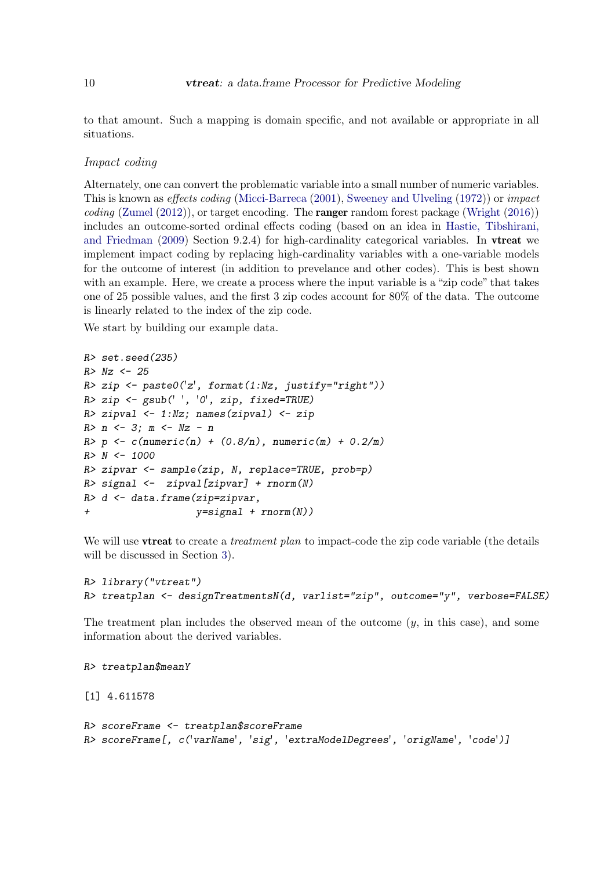to that amount. Such a mapping is domain specific, and not available or appropriate in all situations.

#### Impact coding

Alternately, one can convert the problematic variable into a small number of numeric variables. This is known as effects coding [\(Micci-Barreca](#page-33-9) [\(2001\)](#page-33-9), [Sweeney and Ulveling](#page-34-11) [\(1972\)](#page-34-11)) or impact coding [\(Zumel](#page-34-12)  $(2012)$ ), or target encoding. The **ranger** random forest package [\(Wright](#page-34-13)  $(2016)$ ) includes an outcome-sorted ordinal effects coding (based on an idea in [Hastie, Tibshirani,](#page-33-10) [and Friedman](#page-33-10) [\(2009\)](#page-33-10) Section 9.2.4) for high-cardinality categorical variables. In vtreat we implement impact coding by replacing high-cardinality variables with a one-variable models for the outcome of interest (in addition to prevelance and other codes). This is best shown with an example. Here, we create a process where the input variable is a "zip code" that takes one of 25 possible values, and the first 3 zip codes account for 80% of the data. The outcome is linearly related to the index of the zip code.

We start by building our example data.

```
R> set.seed(235)
R > Nz < -25R> zip <- paste0('z', format(1:Nz, justify="right"))
R> zip <- gsub(' ', '0', zip, fixed=TRUE)
R> zipval \leq 1:Nz; names(zipval) \leq zip
R > n \le -3; m \le -Nz - nR > p <- c(numeric(n) + (0.8/n), numeric(m) + 0.2/m)
R > N < - 1000R> zipvar <- sample(zip, N, replace=TRUE, prob=p)
R> signal \leftarrow zipval[zipvar] + rnorm(N)
R> d <- data.frame(zip=zipvar,
+ y=signal + rnorm(N))
```
We will use **vireat** to create a *treatment plan* to impact-code the zip code variable (the details will be discussed in Section [3\)](#page-23-0).

```
R> library("vtreat")
R> treatplan <- designTreatmentsN(d, varlist="zip", outcome="y", verbose=FALSE)
```
The treatment plan includes the observed mean of the outcome  $(y, \text{ in this case})$ , and some information about the derived variables.

```
R> treatplan$meanY
```
[1] 4.611578

```
R> scoreFrame <- treatplan$scoreFrame
R> scoreFrame[, c('varName', 'sig', 'extraModelDegrees', 'origName', 'code')]
```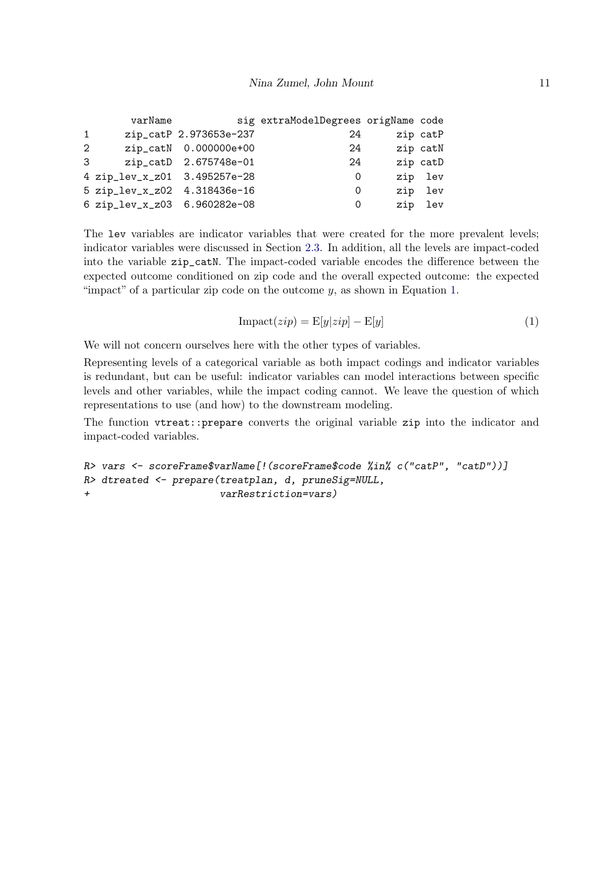|              | varName                      |                        | sig extraModelDegrees origName code |          |
|--------------|------------------------------|------------------------|-------------------------------------|----------|
| $\mathbf{1}$ |                              | zip_catP 2.973653e-237 | 24                                  | zip catP |
| 2            |                              | zip_catN 0.000000e+00  | -24                                 | zip catN |
| 3            |                              | zip_catD 2.675748e-01  | 24                                  | zip catD |
|              | 4 zip_lev_x_z01 3.495257e-28 |                        | 0                                   | zip lev  |
|              | 5 zip_lev_x_z02 4.318436e-16 |                        | 0                                   | zip lev  |
|              | 6 zip_lev_x_z03 6.960282e-08 |                        | 0                                   | zip lev  |

The lev variables are indicator variables that were created for the more prevalent levels; indicator variables were discussed in Section [2.3.](#page-6-0) In addition, all the levels are impact-coded into the variable zip\_catN. The impact-coded variable encodes the difference between the expected outcome conditioned on zip code and the overall expected outcome: the expected "impact" of a particular zip code on the outcome  $y$ , as shown in Equation [1.](#page-10-0)

$$
Image(zip) = E[y|zip] - E[y]
$$
\n(1)

<span id="page-10-0"></span>We will not concern ourselves here with the other types of variables.

Representing levels of a categorical variable as both impact codings and indicator variables is redundant, but can be useful: indicator variables can model interactions between specific levels and other variables, while the impact coding cannot. We leave the question of which representations to use (and how) to the downstream modeling.

The function vtreat::prepare converts the original variable zip into the indicator and impact-coded variables.

```
R> vars <- scoreFrame$varName[!(scoreFrame$code %in% c("catP", "catD"))]
R> dtreated <- prepare(treatplan, d, pruneSig=NULL,
+ varRestriction=vars)
```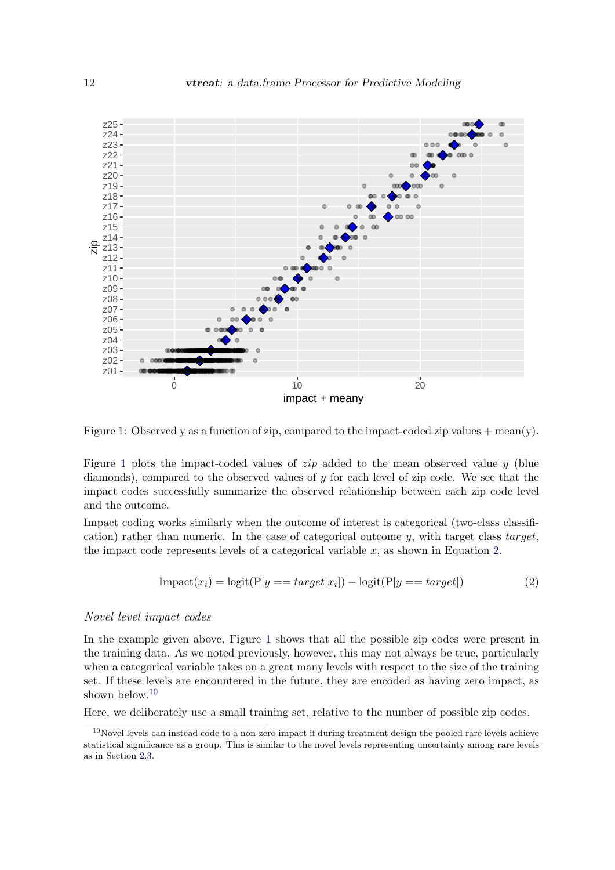

Figure 1: Observed y as a function of zip, compared to the impact-coded zip values  $+$  mean(y).

Figure [1](#page-11-0) plots the impact-coded values of *zip* added to the mean observed value y (blue diamonds), compared to the observed values of y for each level of zip code. We see that the impact codes successfully summarize the observed relationship between each zip code level and the outcome.

<span id="page-11-1"></span>Impact coding works similarly when the outcome of interest is categorical (two-class classification) rather than numeric. In the case of categorical outcome  $y$ , with target class target, the impact code represents levels of a categorical variable  $x$ , as shown in Equation [2.](#page-11-1)

<span id="page-11-0"></span>
$$
Import(x_i) = logit(P[y == target | x_i]) - logit(P[y == target])
$$
\n(2)

# Novel level impact codes

In the example given above, Figure [1](#page-11-0) shows that all the possible zip codes were present in the training data. As we noted previously, however, this may not always be true, particularly when a categorical variable takes on a great many levels with respect to the size of the training set. If these levels are encountered in the future, they are encoded as having zero impact, as shown below.<sup>[10](#page-11-2)</sup>

Here, we deliberately use a small training set, relative to the number of possible zip codes.

<span id="page-11-2"></span> $^{10}\rm{N}$ levels can instead code to a non-zero impact if during treatment design the pooled rare levels achieve statistical significance as a group. This is similar to the novel levels representing uncertainty among rare levels as in Section [2.3.](#page-6-0)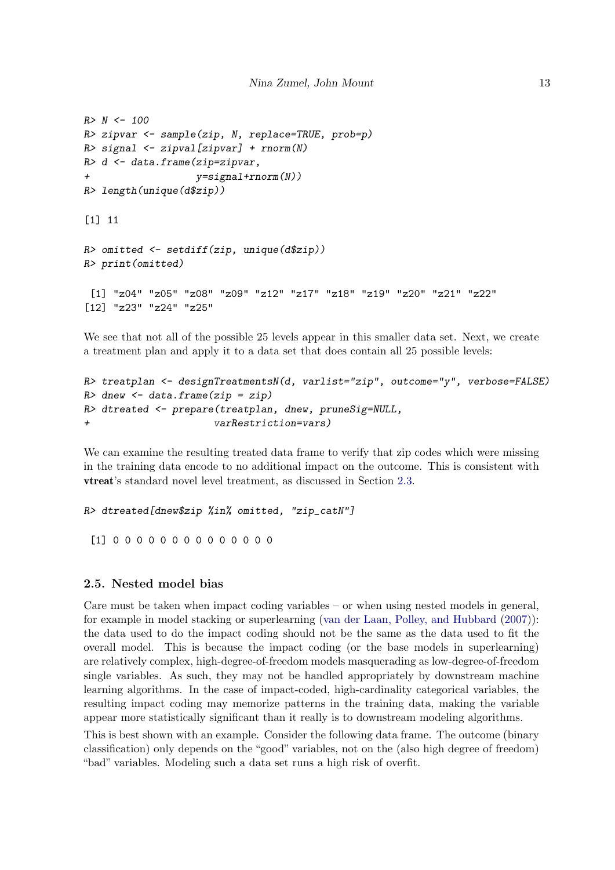```
R > N < - 100R> zipvar <- sample(zip, N, replace=TRUE, prob=p)
R> signal <- zipval[zipvar] + rnorm(N)
R> d <- data.frame(zip=zipvar,
+ y=signal+rnorm(N))
R> length(unique(d$zip))
[1] 11
R> omitted <- setdiff(zip, unique(d$zip))
R> print(omitted)
 [1] "z04" "z05" "z08" "z09" "z12" "z17" "z18" "z19" "z20" "z21" "z22"
[12] "z23" "z24" "z25"
```
We see that not all of the possible 25 levels appear in this smaller data set. Next, we create a treatment plan and apply it to a data set that does contain all 25 possible levels:

```
R> treatplan <- designTreatmentsN(d, varlist="zip", outcome="y", verbose=FALSE)
R dnew \leq data.frame(zip = zip)
R> dtreated <- prepare(treatplan, dnew, pruneSig=NULL,
+ varRestriction=vars)
```
We can examine the resulting treated data frame to verify that zip codes which were missing in the training data encode to no additional impact on the outcome. This is consistent with vtreat's standard novel level treatment, as discussed in Section [2.3.](#page-6-0)

```
R> dtreated[dnew$zip %in% omitted, "zip_catN"]
 [1] 0 0 0 0 0 0 0 0 0 0 0 0 0 0
```
# <span id="page-12-0"></span>2.5. Nested model bias

Care must be taken when impact coding variables – or when using nested models in general, for example in model stacking or superlearning [\(van der Laan, Polley, and Hubbard](#page-34-14) [\(2007\)](#page-34-14)): the data used to do the impact coding should not be the same as the data used to fit the overall model. This is because the impact coding (or the base models in superlearning) are relatively complex, high-degree-of-freedom models masquerading as low-degree-of-freedom single variables. As such, they may not be handled appropriately by downstream machine learning algorithms. In the case of impact-coded, high-cardinality categorical variables, the resulting impact coding may memorize patterns in the training data, making the variable appear more statistically significant than it really is to downstream modeling algorithms.

This is best shown with an example. Consider the following data frame. The outcome (binary classification) only depends on the "good" variables, not on the (also high degree of freedom) "bad" variables. Modeling such a data set runs a high risk of overfit.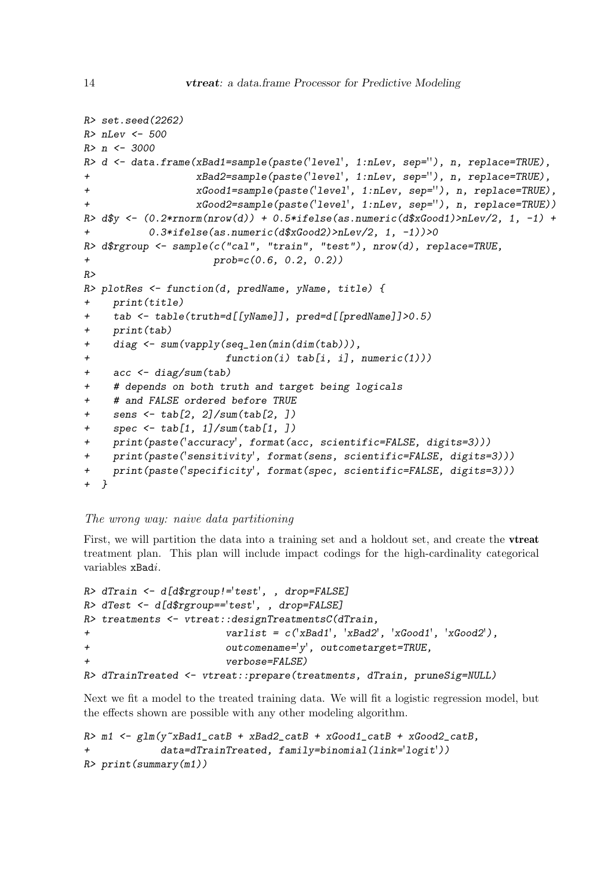```
R> set.seed(2262)
R> nLev <- 500
R> n <- 3000
R> d <- data.frame(xBad1=sample(paste('level', 1:nLev, sep=''), n, replace=TRUE),
+ xBad2=sample(paste('level', 1:nLev, sep=''), n, replace=TRUE),
+ xGood1=sample(paste('level', 1:nLev, sep=''), n, replace=TRUE),
+ xGood2=sample(paste('level', 1:nLev, sep=''), n, replace=TRUE))
R> d\y <- (0.2*rnorm(nrow(d)) + 0.5*ifelse(as.numeric(d\xGood))>nLev/2, 1, -1) +
+ 0.3*ifelse(as.numeric(d$xGood2)>nLev/2, 1, -1))>0
R> d$rgroup <- sample(c("cal", "train", "test"), nrow(d), replace=TRUE,
+ prob=c(0.6, 0.2, 0.2))
R>
R> plotRes <- function(d, predName, yName, title) {
+ print(title)
    tab <- table(truth=d[[yName]], pred=d[[predName]]>0.5)
    print(tab)+ diag <- sum(vapply(seq_len(min(dim(tab))),
+ function(i) tab[i, i], numeric(1)))
+ acc <- diag/sum(tab)
    # depends on both truth and target being logicals
    # and FALSE ordered before TRUE
+ sens <- tab[2, 2]/sum(tab[2, ])
+ spec <- tab[1, 1]/sum(tab[1, ])
+ print(paste('accuracy', format(acc, scientific=FALSE, digits=3)))
+ print(paste('sensitivity', format(sens, scientific=FALSE, digits=3)))
+ print(paste('specificity', format(spec, scientific=FALSE, digits=3)))
+ }
```
# The wrong way: naive data partitioning

First, we will partition the data into a training set and a holdout set, and create the vtreat treatment plan. This plan will include impact codings for the high-cardinality categorical variables xBadi.

```
R> dTrain <- d[d$rgroup!='test', , drop=FALSE]
R> dTest <- d[d$rgroup=='test', , drop=FALSE]
R> treatments <- vtreat::designTreatmentsC(dTrain,
+ varlist = c('xBad1', 'xBad2', 'xGood1', 'xGood2'),
+ outcomename='y', outcometarget=TRUE,
                     verbose=FALSE)
R> dTrainTreated <- vtreat::prepare(treatments, dTrain, pruneSig=NULL)
```
Next we fit a model to the treated training data. We will fit a logistic regression model, but the effects shown are possible with any other modeling algorithm.

```
R > m1 <- glm(y^*xBad1_catB + xBad2_catB + xGood1_catB + xGood2_catB,+ data=dTrainTreated, family=binomial(link='logit'))
R> print(summary(m1))
```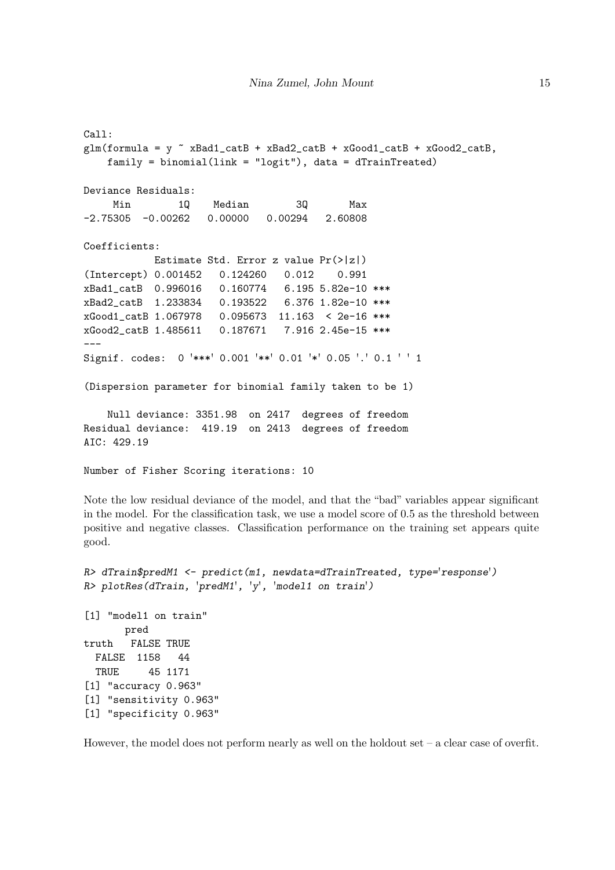```
Call:
glm(formula = y \tilde{ } xBad1_catB + xBad2_catB + xGood1_catB + xGood2_catB,
   family = binomial(link = "logit"), data = dTrainTreated)
Deviance Residuals:
    Min 1Q Median 3Q Max
-2.75305 -0.00262 0.00000 0.00294 2.60808
Coefficients:
           Estimate Std. Error z value Pr(>|z|)
(Intercept) 0.001452 0.124260 0.012 0.991
xBad1_catB 0.996016 0.160774 6.195 5.82e-10 ***
xBad2_catB 1.233834 0.193522 6.376 1.82e-10 ***
xGood1_catB 1.067978 0.095673 11.163 < 2e-16 ***
xGood2_catB 1.485611 0.187671 7.916 2.45e-15 ***
---Signif. codes: 0 '***' 0.001 '**' 0.01 '*' 0.05 '.' 0.1 ' ' 1
(Dispersion parameter for binomial family taken to be 1)
   Null deviance: 3351.98 on 2417 degrees of freedom
Residual deviance: 419.19 on 2413 degrees of freedom
AIC: 429.19
Number of Fisher Scoring iterations: 10
```
Note the low residual deviance of the model, and that the "bad" variables appear significant in the model. For the classification task, we use a model score of 0.5 as the threshold between positive and negative classes. Classification performance on the training set appears quite good.

```
R> dTrain$predM1 <- predict(m1, newdata=dTrainTreated, type='response')
R> plotRes(dTrain, 'predM1', 'y', 'model1 on train')
[1] "model1 on train"
      pred
truth FALSE TRUE
 FALSE 1158 44
 TRUE 45 1171
[1] "accuracy 0.963"
[1] "sensitivity 0.963"
[1] "specificity 0.963"
```
However, the model does not perform nearly as well on the holdout set – a clear case of overfit.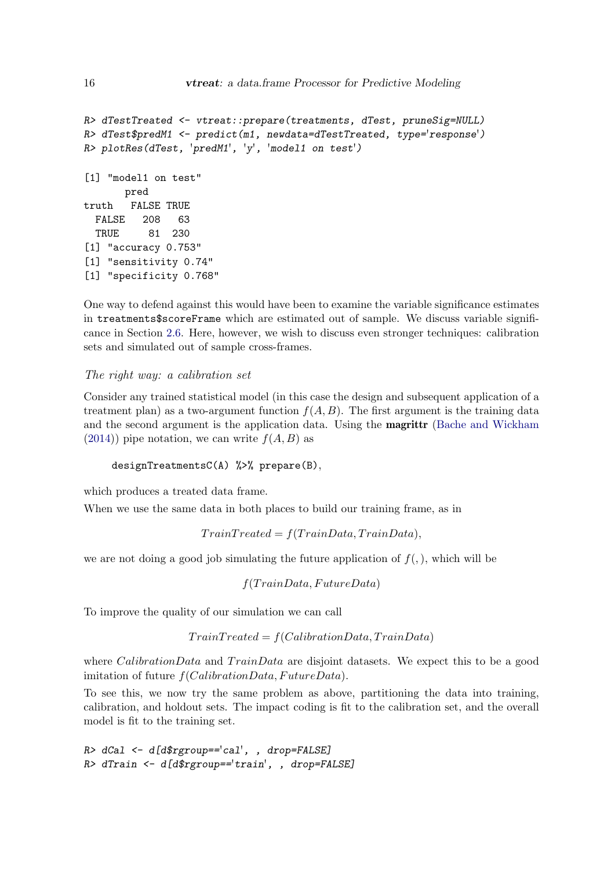```
R> dTestTreated <- vtreat::prepare(treatments, dTest, pruneSig=NULL)
R> dTest$predM1 <- predict(m1, newdata=dTestTreated, type='response')
R> plotRes(dTest, 'predM1', 'y', 'model1 on test')
[1] "model1 on test"
      pred
truth FALSE TRUE
 FALSE 208 63
 TRUE 81 230
[1] "accuracy 0.753"
[1] "sensitivity 0.74"
[1] "specificity 0.768"
```
One way to defend against this would have been to examine the variable significance estimates in treatments\$scoreFrame which are estimated out of sample. We discuss variable significance in Section [2.6.](#page-19-0) Here, however, we wish to discuss even stronger techniques: calibration sets and simulated out of sample cross-frames.

# <span id="page-15-0"></span>The right way: a calibration set

Consider any trained statistical model (in this case the design and subsequent application of a treatment plan) as a two-argument function  $f(A, B)$ . The first argument is the training data and the second argument is the application data. Using the magrittr [\(Bache and Wickham](#page-33-11)  $(2014)$ ) pipe notation, we can write  $f(A, B)$  as

designTreatmentsC(A) %>% prepare(B),

which produces a treated data frame.

When we use the same data in both places to build our training frame, as in

 $Train Treated = f(TrainData, TrainData),$ 

we are not doing a good job simulating the future application of  $f(.)$ , which will be

 $f(TrainData, FutureData)$ 

To improve the quality of our simulation we can call

 $TrainTreated = f(CalibrationData, TrainData)$ 

where *CalibrationData* and  $TrainData$  are disjoint datasets. We expect this to be a good imitation of future  $f(CalibrationData, FutureData)$ .

To see this, we now try the same problem as above, partitioning the data into training, calibration, and holdout sets. The impact coding is fit to the calibration set, and the overall model is fit to the training set.

```
R> dCal <- d[d$rgroup=='cal', , drop=FALSE]
R> dTrain <- d[d$rgroup=='train', , drop=FALSE]
```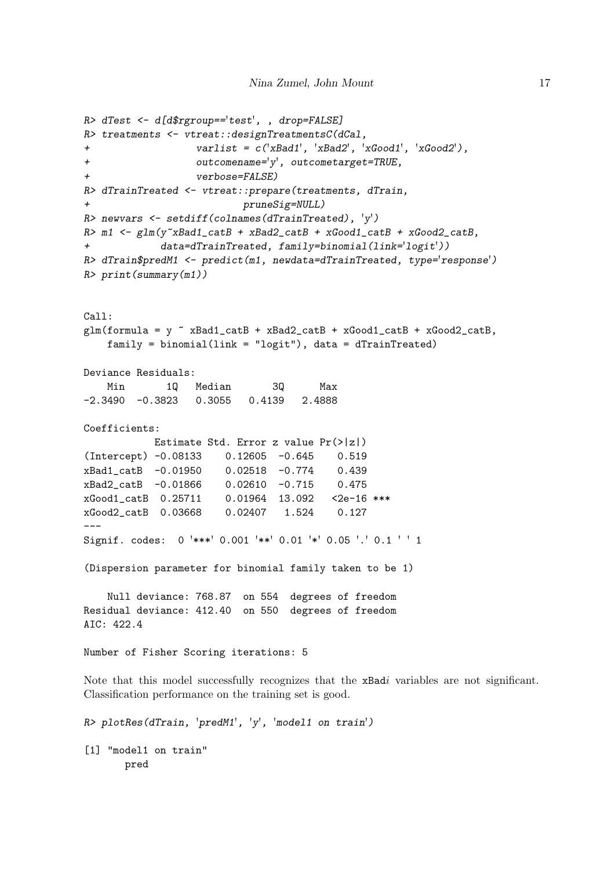```
R> dTest <- d[d$rgroup=='test', , drop=FALSE]
R> treatments <- vtreat::designTreatmentsC(dCal,
                  varlist = c('xBad1', 'xBad2', 'xGood1', 'xGood2'),outcomename='y', outcometarget=TRUE,
+ verbose=FALSE)
R> dTrainTreated <- vtreat::prepare(treatments, dTrain,
+ pruneSig=NULL)
R> newvars \leq setdiff(colnames(dTrainTreated), \vert y' \rangleR> m1 <- glm(y"xBad1_catB + xBad2_catB + xGood1_catB + xGood2_catB,
+ data=dTrainTreated, family=binomial(link='logit'))
R> dTrain$predM1 <- predict(m1, newdata=dTrainTreated, type='response')
R> print(summary(m1))
Call:
glm(formula = y \text{ XBad1}_cath + xBad2_cath + xGood1_cath + xGood2_cathfamily = binomial(link = "logit"), data = dTrainTreated)
Deviance Residuals:
   Min 1Q Median 3Q Max
-2.3490 -0.3823 0.3055 0.4139 2.4888
Coefficients:
           Estimate Std. Error z value Pr(>|z|)
(Intercept) -0.08133 0.12605 -0.645 0.519
xBad1_catB -0.01950 0.02518 -0.774 0.439
xBad2_catB -0.01866 0.02610 -0.715 0.475
xGood1_catB 0.25711 0.01964 13.092 <2e-16 ***
xGood2_catB 0.03668 0.02407 1.524 0.127
---
Signif. codes: 0 '***' 0.001 '**' 0.01 '*' 0.05 '.' 0.1 ' ' 1
(Dispersion parameter for binomial family taken to be 1)
   Null deviance: 768.87 on 554 degrees of freedom
Residual deviance: 412.40 on 550 degrees of freedom
AIC: 422.4
Number of Fisher Scoring iterations: 5
Note that this model successfully recognizes that the xBadi variables are not significant.
Classification performance on the training set is good.
R> plotRes(dTrain, 'predM1', 'y', 'model1 on train')
```
[1] "model1 on train" pred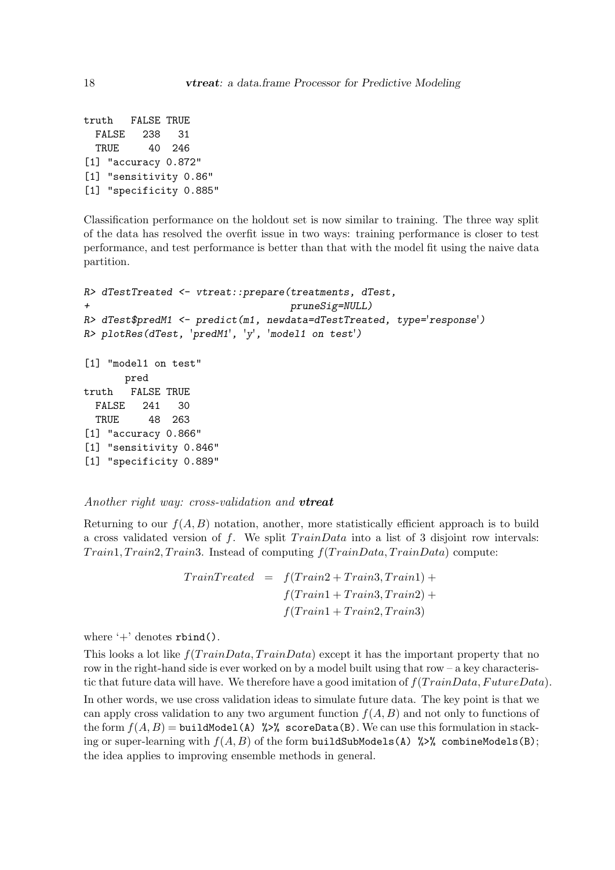```
truth FALSE TRUE
 FALSE 238 31
 TRUE 40 246
[1] "accuracy 0.872"
[1] "sensitivity 0.86"
[1] "specificity 0.885"
```
Classification performance on the holdout set is now similar to training. The three way split of the data has resolved the overfit issue in two ways: training performance is closer to test performance, and test performance is better than that with the model fit using the naive data partition.

```
R> dTestTreated <- vtreat::prepare(treatments, dTest,
+ pruneSig=NULL)
R> dTest$predM1 <- predict(m1, newdata=dTestTreated, type='response')
R> plotRes(dTest, 'predM1', 'y', 'model1 on test')
[1] "model1 on test"
      pred
truth FALSE TRUE
 FALSE 241 30
 TRUE 48 263
[1] "accuracy 0.866"
[1] "sensitivity 0.846"
[1] "specificity 0.889"
```
<span id="page-17-0"></span>Another right way: cross-validation and **vireat** 

Returning to our  $f(A, B)$  notation, another, more statistically efficient approach is to build a cross validated version of f. We split  $TrainData$  into a list of 3 disjoint row intervals:  $Train1, Train2, Train3. Instead of computing f(TrainData, TrainData) compute:$ 

> $TrainTreated = f(Train2 + Train3, Train1) +$  $f(T rain1 + Train3, Train2) +$  $f(T rain1 + Train2, Train3)$

where  $+$  denotes rbind().

This looks a lot like  $f(TrainData, TrainData)$  except it has the important property that no row in the right-hand side is ever worked on by a model built using that row  $-a$  key characteristic that future data will have. We therefore have a good imitation of  $f(TrainData, FutureData)$ .

In other words, we use cross validation ideas to simulate future data. The key point is that we can apply cross validation to any two argument function  $f(A, B)$  and not only to functions of the form  $f(A, B) =$  buildModel(A) %>% scoreData(B). We can use this formulation in stacking or super-learning with  $f(A, B)$  of the form buildSubModels(A)  $\frac{1}{2}$  combineModels(B); the idea applies to improving ensemble methods in general.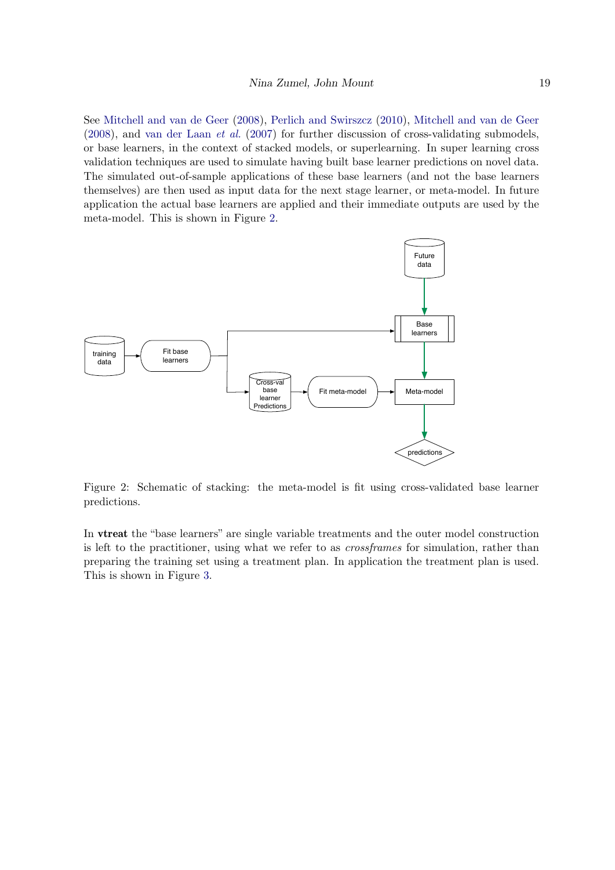See [Mitchell and van de Geer](#page-33-12) [\(2008\)](#page-33-12), [Perlich and Swirszcz](#page-34-15) [\(2010\)](#page-34-15), [Mitchell and van de Geer](#page-33-12) [\(2008\)](#page-33-12), and [van der Laan](#page-34-14) et al. [\(2007\)](#page-34-14) for further discussion of cross-validating submodels, or base learners, in the context of stacked models, or superlearning. In super learning cross validation techniques are used to simulate having built base learner predictions on novel data. The simulated out-of-sample applications of these base learners (and not the base learners themselves) are then used as input data for the next stage learner, or meta-model. In future application the actual base learners are applied and their immediate outputs are used by the meta-model. This is shown in Figure [2.](#page-18-0)



<span id="page-18-0"></span>Figure 2: Schematic of stacking: the meta-model is fit using cross-validated base learner predictions.

In vtreat the "base learners" are single variable treatments and the outer model construction is left to the practitioner, using what we refer to as crossframes for simulation, rather than preparing the training set using a treatment plan. In application the treatment plan is used. This is shown in Figure [3.](#page-19-1)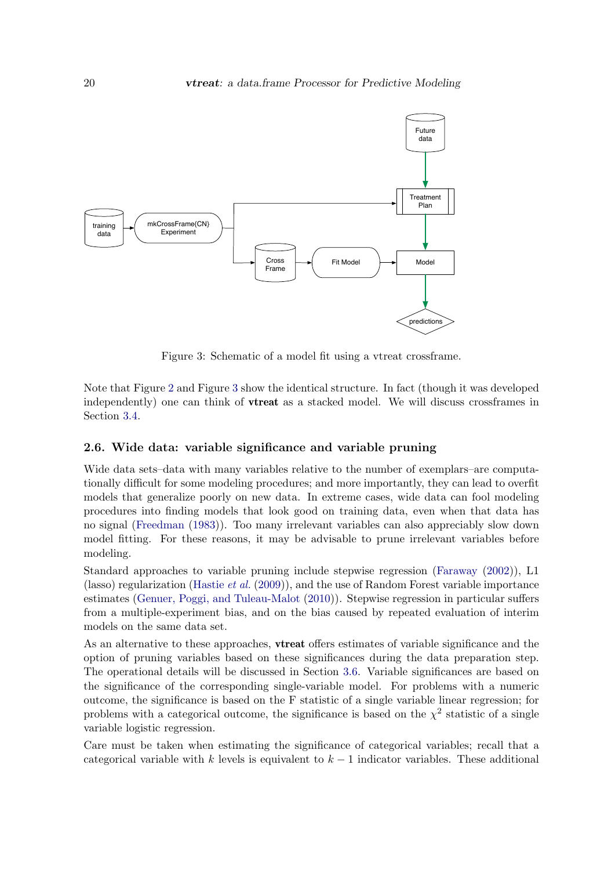

<span id="page-19-1"></span>Figure 3: Schematic of a model fit using a vtreat crossframe.

Note that Figure [2](#page-18-0) and Figure [3](#page-19-1) show the identical structure. In fact (though it was developed independently) one can think of vtreat as a stacked model. We will discuss crossframes in Section [3.4.](#page-28-0)

# <span id="page-19-0"></span>2.6. Wide data: variable significance and variable pruning

Wide data sets–data with many variables relative to the number of exemplars–are computationally difficult for some modeling procedures; and more importantly, they can lead to overfit models that generalize poorly on new data. In extreme cases, wide data can fool modeling procedures into finding models that look good on training data, even when that data has no signal [\(Freedman](#page-33-13) [\(1983\)](#page-33-13)). Too many irrelevant variables can also appreciably slow down model fitting. For these reasons, it may be advisable to prune irrelevant variables before modeling.

Standard approaches to variable pruning include stepwise regression [\(Faraway](#page-33-14) [\(2002\)](#page-33-14)), L1 (lasso) regularization [\(Hastie](#page-33-10) et al. [\(2009\)](#page-33-10)), and the use of Random Forest variable importance estimates [\(Genuer, Poggi, and Tuleau-Malot](#page-33-15) [\(2010\)](#page-33-15)). Stepwise regression in particular suffers from a multiple-experiment bias, and on the bias caused by repeated evaluation of interim models on the same data set.

As an alternative to these approaches, vtreat offers estimates of variable significance and the option of pruning variables based on these significances during the data preparation step. The operational details will be discussed in Section [3.6.](#page-31-0) Variable significances are based on the significance of the corresponding single-variable model. For problems with a numeric outcome, the significance is based on the F statistic of a single variable linear regression; for problems with a categorical outcome, the significance is based on the  $\chi^2$  statistic of a single variable logistic regression.

Care must be taken when estimating the significance of categorical variables; recall that a categorical variable with k levels is equivalent to  $k-1$  indicator variables. These additional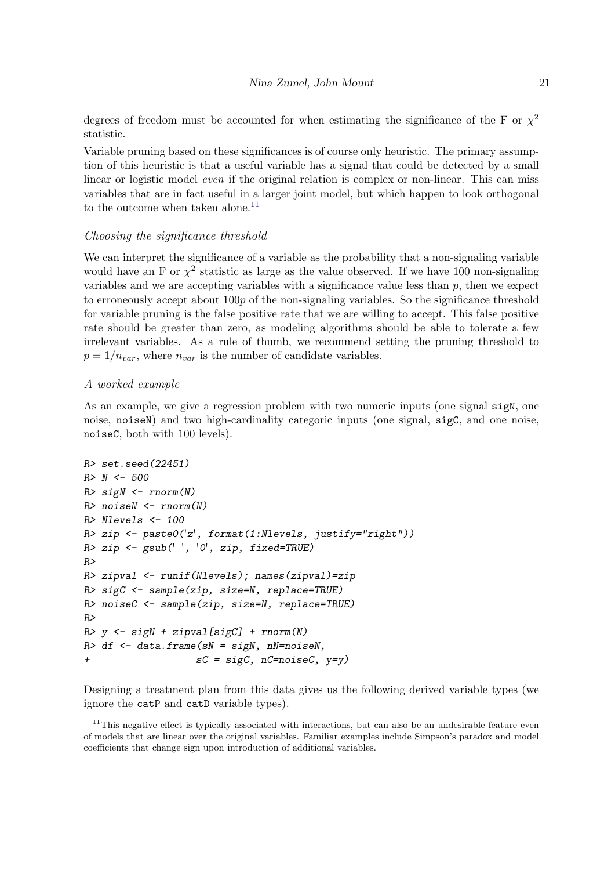degrees of freedom must be accounted for when estimating the significance of the F or  $\chi^2$ statistic.

Variable pruning based on these significances is of course only heuristic. The primary assumption of this heuristic is that a useful variable has a signal that could be detected by a small linear or logistic model *even* if the original relation is complex or non-linear. This can miss variables that are in fact useful in a larger joint model, but which happen to look orthogonal to the outcome when taken alone. $^{11}$  $^{11}$  $^{11}$ 

# Choosing the significance threshold

We can interpret the significance of a variable as the probability that a non-signaling variable would have an F or  $\chi^2$  statistic as large as the value observed. If we have 100 non-signaling variables and we are accepting variables with a significance value less than  $p$ , then we expect to erroneously accept about  $100p$  of the non-signaling variables. So the significance threshold for variable pruning is the false positive rate that we are willing to accept. This false positive rate should be greater than zero, as modeling algorithms should be able to tolerate a few irrelevant variables. As a rule of thumb, we recommend setting the pruning threshold to  $p = 1/n_{var}$ , where  $n_{var}$  is the number of candidate variables.

# A worked example

As an example, we give a regression problem with two numeric inputs (one signal sigN, one noise, noiseN) and two high-cardinality categoric inputs (one signal, sigC, and one noise, noiseC, both with 100 levels).

```
R> set.seed(22451)
R > N < - 500R> sigN <- rnorm(N)R> noiseN <- rnorm(N)R> Nlevels <- 100
R> zip <- paste0('z', format(1:Nlevels, justify="right"))
R> zip <- gsub(' ', '0', zip, fixed=TRUE)
R>R> zipval <- runif(Nlevels); names(zipval)=zip
R> sigC <- sample(zip, size=N, replace=TRUE)
R> noiseC <- sample(zip, size=N, replace=TRUE)
R>R> y <- sigN + zipval[sigC] + rnorm(N)
R> df \leq data.frame(sN = sigN, nN=noiseN,
                   sC = sigC, nC=noiseC, y=y)
```
Designing a treatment plan from this data gives us the following derived variable types (we ignore the catP and catD variable types).

<span id="page-20-0"></span> $11$ This negative effect is typically associated with interactions, but can also be an undesirable feature even of models that are linear over the original variables. Familiar examples include Simpson's paradox and model coefficients that change sign upon introduction of additional variables.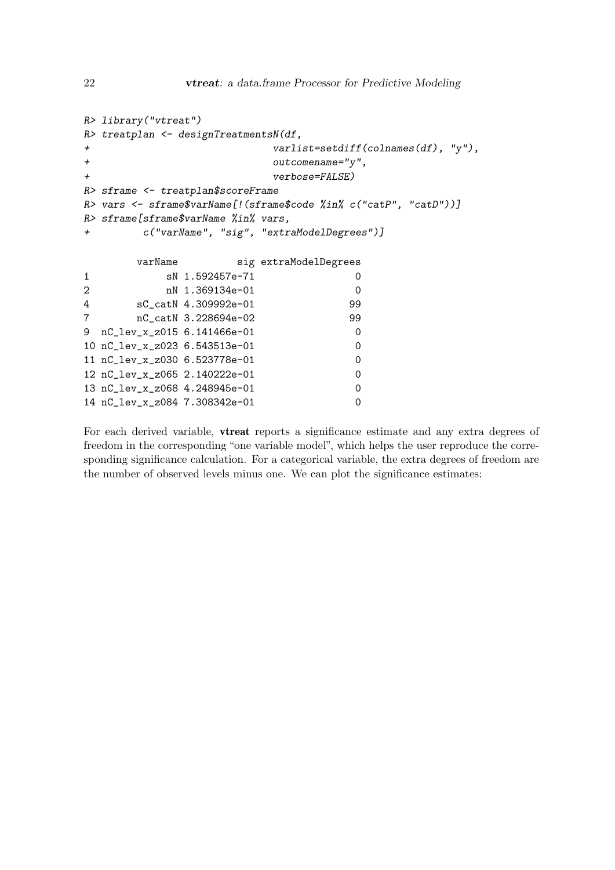```
R> library("vtreat")
R> treatplan <- designTreatmentsN(df,
+ varlist=setdiff(colnames(df), "y"),
+ outcomename="y",
+ verbose=FALSE)
R> sframe <- treatplan$scoreFrame
R> vars <- sframe$varName[!(sframe$code %in% c("catP", "catD"))]
R> sframe[sframe$varName %in% vars,
+ c("varName", "sig", "extraModelDegrees")]
      varName sig extraModelDegrees
1 sN 1.592457e-71 0
2 nN 1.369134e-01 0
4 sC_catN 4.309992e-01 99
7 nC_catN 3.228694e-02 99
9 nC_lev_x_z015 6.141466e-01 0
10 nC_lev_x_z023 6.543513e-01 0
11 nC_lev_x_z030 6.523778e-01 0
12 nC_lev_x_z065 2.140222e-01 0
```
13 nC\_lev\_x\_z068 4.248945e-01 0 14 nC\_lev\_x\_z084 7.308342e-01 0

For each derived variable, vtreat reports a significance estimate and any extra degrees of freedom in the corresponding "one variable model", which helps the user reproduce the corresponding significance calculation. For a categorical variable, the extra degrees of freedom are the number of observed levels minus one. We can plot the significance estimates: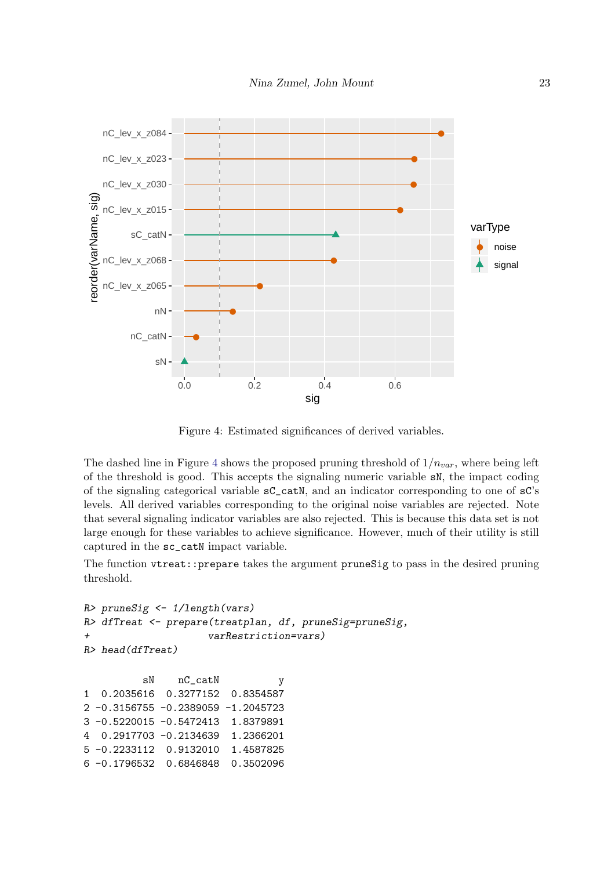

<span id="page-22-0"></span>Figure 4: Estimated significances of derived variables.

The dashed line in Figure [4](#page-22-0) shows the proposed pruning threshold of  $1/n_{var}$ , where being left of the threshold is good. This accepts the signaling numeric variable sN, the impact coding of the signaling categorical variable sC\_catN, and an indicator corresponding to one of sC's levels. All derived variables corresponding to the original noise variables are rejected. Note that several signaling indicator variables are also rejected. This is because this data set is not large enough for these variables to achieve significance. However, much of their utility is still captured in the sc\_catN impact variable.

The function vtreat::prepare takes the argument pruneSig to pass in the desired pruning threshold.

```
R> pruneSig <- 1/length(vars)
R> dfTreat <- prepare(treatplan, df, pruneSig=pruneSig,
+ varRestriction=vars)
R> head(dfTreat)
         sN nC_catN y
1 0.2035616 0.3277152 0.8354587
2 -0.3156755 -0.2389059 -1.2045723
3 -0.5220015 -0.5472413 1.8379891
4 0.2917703 -0.2134639 1.2366201
5 -0.2233112 0.9132010 1.4587825
6 -0.1796532 0.6846848 0.3502096
```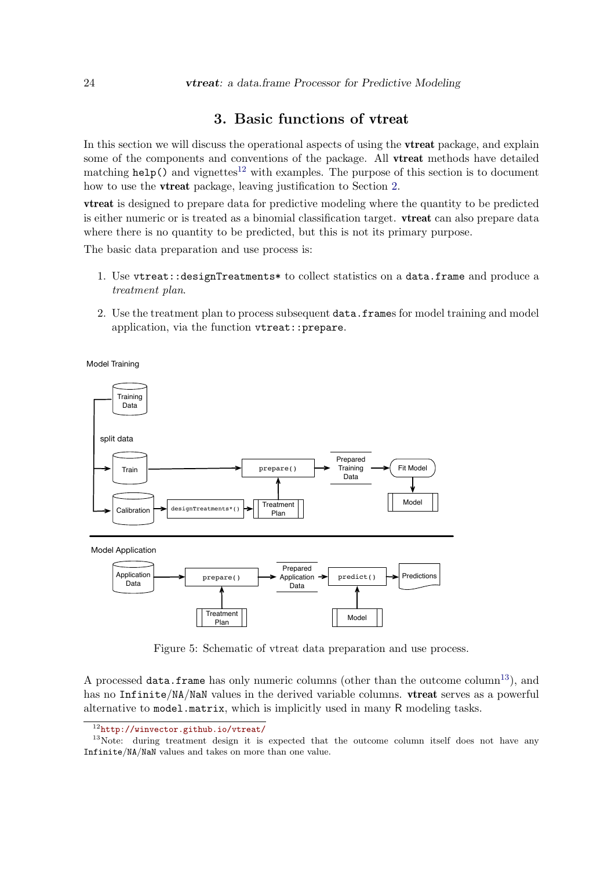# 3. Basic functions of vtreat

<span id="page-23-0"></span>In this section we will discuss the operational aspects of using the **vireat** package, and explain some of the components and conventions of the package. All **vtreat** methods have detailed matching help() and vignettes<sup>[12](#page-23-1)</sup> with examples. The purpose of this section is to document how to use the vtreat package, leaving justification to Section [2.](#page-3-2)

vtreat is designed to prepare data for predictive modeling where the quantity to be predicted is either numeric or is treated as a binomial classification target. vtreat can also prepare data where there is no quantity to be predicted, but this is not its primary purpose.

The basic data preparation and use process is:

- 1. Use vtreat::designTreatments\* to collect statistics on a data.frame and produce a treatment plan.
- 2. Use the treatment plan to process subsequent data.frames for model training and model application, via the function vtreat::prepare.

Model Training



<span id="page-23-3"></span>Figure 5: Schematic of vtreat data preparation and use process.

A processed data.frame has only numeric columns (other than the outcome column<sup>[13](#page-23-2)</sup>), and has no Infinite/NA/NaN values in the derived variable columns. **vireat** serves as a powerful alternative to model.matrix, which is implicitly used in many R modeling tasks.

<span id="page-23-2"></span><span id="page-23-1"></span><sup>12</sup><http://winvector.github.io/vtreat/>

<sup>&</sup>lt;sup>13</sup>Note: during treatment design it is expected that the outcome column itself does not have any Infinite/NA/NaN values and takes on more than one value.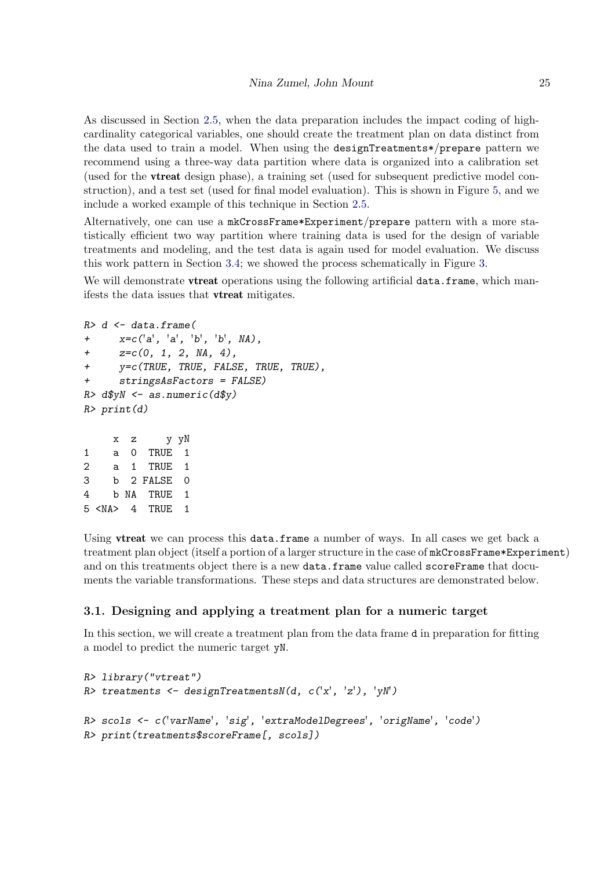As discussed in Section [2.5,](#page-12-0) when the data preparation includes the impact coding of highcardinality categorical variables, one should create the treatment plan on data distinct from the data used to train a model. When using the designTreatments\*/prepare pattern we recommend using a three-way data partition where data is organized into a calibration set (used for the vtreat design phase), a training set (used for subsequent predictive model construction), and a test set (used for final model evaluation). This is shown in Figure [5,](#page-23-3) and we include a worked example of this technique in Section [2.5.](#page-12-0)

Alternatively, one can use a mkCrossFrame\*Experiment/prepare pattern with a more statistically efficient two way partition where training data is used for the design of variable treatments and modeling, and the test data is again used for model evaluation. We discuss this work pattern in Section [3.4;](#page-28-0) we showed the process schematically in Figure [3.](#page-19-1)

We will demonstrate **vireat** operations using the following artificial data.frame, which manifests the data issues that vtreat mitigates.

```
R > d \leq -data-frame(+ x = c('a', 'a', 'b', 'b', \, NA),+ z=c(0, 1, 2, NA, 4),+ y=c(TRUE, TRUE, FALSE, TRUE, TRUE),
+ stringsAsFactors = FALSE)
R> d$yN <- as.numeric(d$y)
R> print(d)x z y yN
```

| 1 | a           | 0  | TRUE      | 1 |
|---|-------------|----|-----------|---|
| 2 | a.          | 1. | TRUE      | 1 |
| 3 |             |    | b 2 FALSE | ი |
| 4 | h           |    | NA TRUE   | 1 |
|   | 5 <na></na> |    | 4 TRUE    | 1 |
|   |             |    |           |   |

Using **vireat** we can process this data.frame a number of ways. In all cases we get back a treatment plan object (itself a portion of a larger structure in the case of  $mkCrossFrame*Experiment$ ) and on this treatments object there is a new data.frame value called scoreFrame that documents the variable transformations. These steps and data structures are demonstrated below.

# 3.1. Designing and applying a treatment plan for a numeric target

In this section, we will create a treatment plan from the data frame d in preparation for fitting a model to predict the numeric target yN.

```
R> library("vtreat")
R> treatments <- designTreatmentsN(d, c('x', 'z'), 'yN')
R> scols <- c('varName', 'sig', 'extraModelDegrees', 'origName', 'code')
R> print(treatments$scoreFrame[, scols])
```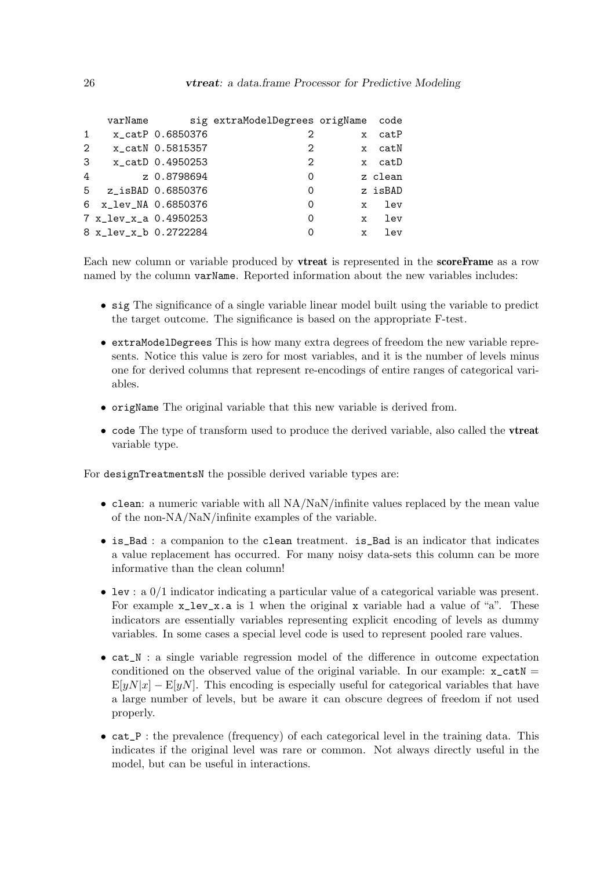|   | varName               |                  | sig extraModelDegrees origName |              | code    |
|---|-----------------------|------------------|--------------------------------|--------------|---------|
| 1 |                       | x_catP 0.6850376 | 2                              | $\mathbf{x}$ | catP    |
| 2 |                       | x_catN 0.5815357 | 2                              |              | x catN  |
| 3 |                       | x_catD 0.4950253 | 2                              |              | x catD  |
| 4 |                       | z 0.8798694      | 0                              |              | z clean |
| 5 | z_isBAD 0.6850376     |                  | 0                              |              | z isBAD |
|   | 6 x_lev_NA 0.6850376  |                  | 0                              | X            | lev     |
|   | 7 x_lev_x_a 0.4950253 |                  | O                              | X            | lev     |
|   | 8 x_lev_x_b 0.2722284 |                  | O                              | $\mathbf{x}$ | lev     |
|   |                       |                  |                                |              |         |

Each new column or variable produced by vtreat is represented in the scoreFrame as a row named by the column varName. Reported information about the new variables includes:

- sig The significance of a single variable linear model built using the variable to predict the target outcome. The significance is based on the appropriate F-test.
- extraModelDegrees This is how many extra degrees of freedom the new variable represents. Notice this value is zero for most variables, and it is the number of levels minus one for derived columns that represent re-encodings of entire ranges of categorical variables.
- origName The original variable that this new variable is derived from.
- code The type of transform used to produce the derived variable, also called the **vireat** variable type.

For designTreatmentsN the possible derived variable types are:

- clean: a numeric variable with all  $NA/NaN/infinite$  values replaced by the mean value of the non-NA/NaN/infinite examples of the variable.
- is\_Bad : a companion to the clean treatment. is\_Bad is an indicator that indicates a value replacement has occurred. For many noisy data-sets this column can be more informative than the clean column!
- lev : a 0/1 indicator indicating a particular value of a categorical variable was present. For example  $x_{\text{lev},x}$ , a is 1 when the original x variable had a value of "a". These indicators are essentially variables representing explicit encoding of levels as dummy variables. In some cases a special level code is used to represent pooled rare values.
- cat\_N : a single variable regression model of the difference in outcome expectation conditioned on the observed value of the original variable. In our example:  $x_c$ catN =  $E[yN|x] - E[yN]$ . This encoding is especially useful for categorical variables that have a large number of levels, but be aware it can obscure degrees of freedom if not used properly.
- cat\_P : the prevalence (frequency) of each categorical level in the training data. This indicates if the original level was rare or common. Not always directly useful in the model, but can be useful in interactions.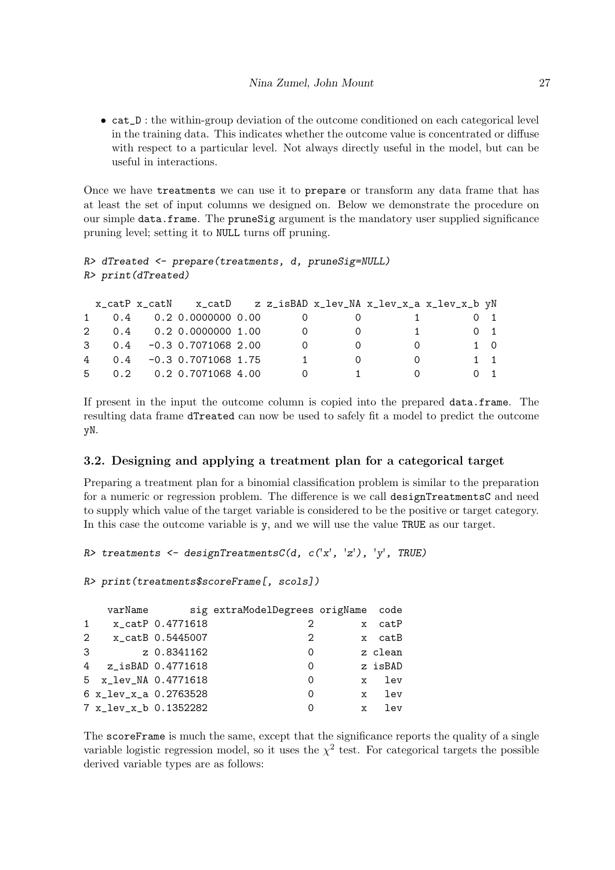• cat\_D : the within-group deviation of the outcome conditioned on each categorical level in the training data. This indicates whether the outcome value is concentrated or diffuse with respect to a particular level. Not always directly useful in the model, but can be useful in interactions.

Once we have treatments we can use it to prepare or transform any data frame that has at least the set of input columns we designed on. Below we demonstrate the procedure on our simple data.frame. The pruneSig argument is the mandatory user supplied significance pruning level; setting it to NULL turns off pruning.

```
R> dTreated <- prepare(treatments, d, pruneSig=NULL)
R> print(dTreated)
```

|  |                             |                |    | x_catP x_catN x_catD z z_isBAD x_lev_NA x_lev_x_a x_lev_x_b yN |                  |
|--|-----------------------------|----------------|----|----------------------------------------------------------------|------------------|
|  | 1 0.4 0.2 0.0000000 0.00    |                |    |                                                                | $0\quad 1$       |
|  | 2 0.4 0.2 0.0000000 1.00    | $\overline{0}$ | () | $\mathbf{1}$                                                   | $0\quad 1$       |
|  | $3$ 0.4 -0.3 0.7071068 2.00 | $\Omega$       |    |                                                                | $1 \quad \Omega$ |
|  | 4 0.4 -0.3 0.7071068 1.75   | $\sim$ 1       |    |                                                                | $1 \quad 1$      |
|  | 5 0.2 0.2 0.7071068 4.00    | $\overline{0}$ |    |                                                                | $0 \quad 1$      |

If present in the input the outcome column is copied into the prepared data.frame. The resulting data frame dTreated can now be used to safely fit a model to predict the outcome yN.

# 3.2. Designing and applying a treatment plan for a categorical target

Preparing a treatment plan for a binomial classification problem is similar to the preparation for a numeric or regression problem. The difference is we call designTreatmentsC and need to supply which value of the target variable is considered to be the positive or target category. In this case the outcome variable is y, and we will use the value TRUE as our target.

```
R> treatments <- designTreatmentsC(d, c('x', 'z'), 'y', TRUE)
```

```
R> print(treatments$scoreFrame[, scols])
```

|                | varName               |                  | sig extraModelDegrees origName |              | code    |
|----------------|-----------------------|------------------|--------------------------------|--------------|---------|
| $\mathbf{1}$   |                       | x_catP 0.4771618 | 2                              | $\mathbf{x}$ | catP    |
| $\overline{2}$ |                       | x_catB 0.5445007 | 2                              |              | x catB  |
| 3              |                       | z 0.8341162      | 0                              |              | z clean |
|                | 4 z_isBAD 0.4771618   |                  | 0                              |              | z isBAD |
|                | 5 x_lev_NA 0.4771618  |                  | 0                              | $\mathbf{x}$ | lev     |
|                | 6 x_lev_x_a 0.2763528 |                  | 0                              | $\mathbf{x}$ | 1ev     |
|                | 7 x_lev_x_b 0.1352282 |                  | 0                              | $\mathbf x$  | lev     |

The scoreFrame is much the same, except that the significance reports the quality of a single variable logistic regression model, so it uses the  $\chi^2$  test. For categorical targets the possible derived variable types are as follows: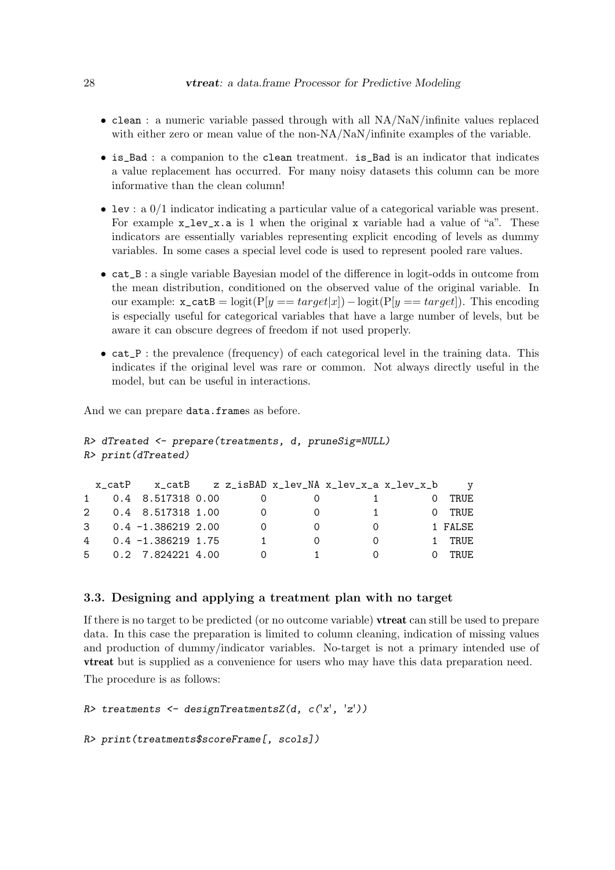- clean : a numeric variable passed through with all NA/NaN/infinite values replaced with either zero or mean value of the non-NA/NaN/infinite examples of the variable.
- is\_Bad : a companion to the clean treatment. is\_Bad is an indicator that indicates a value replacement has occurred. For many noisy datasets this column can be more informative than the clean column!
- lev : a 0/1 indicator indicating a particular value of a categorical variable was present. For example  $x$  lev<sub>x</sub>.a is 1 when the original x variable had a value of "a". These indicators are essentially variables representing explicit encoding of levels as dummy variables. In some cases a special level code is used to represent pooled rare values.
- cat\_B : a single variable Bayesian model of the difference in logit-odds in outcome from the mean distribution, conditioned on the observed value of the original variable. In our example:  $\mathbf{x}\_\text{catB} = \text{logit}(P[y == target|x]) - \text{logit}(P[y == target]).$  This encoding is especially useful for categorical variables that have a large number of levels, but be aware it can obscure degrees of freedom if not used properly.
- cat\_P : the prevalence (frequency) of each categorical level in the training data. This indicates if the original level was rare or common. Not always directly useful in the model, but can be useful in interactions.

And we can prepare data.frames as before.

```
R> dTreated <- prepare(treatments, d, pruneSig=NULL)
R> print(dTreated)
```

|   | x catP | x catB                        |  | z z_isBAD x_lev_NA x_lev_x_a x_lev_x_b | $\mathbf v$ |
|---|--------|-------------------------------|--|----------------------------------------|-------------|
| 1 |        | 0.4 8.517318 0.00             |  |                                        | TRUF.       |
|   |        | 2 0.4 8.517318 1.00           |  |                                        | TRUF.       |
|   |        | $3\qquad 0.4 -1.386219\;2.00$ |  |                                        | 1 FALSE     |
| 4 |        | 0.4 -1.386219 1.75            |  |                                        | TRUE.       |
|   |        | 5 0.2 7.824221 4.00           |  |                                        | TRUE.       |

## 3.3. Designing and applying a treatment plan with no target

If there is no target to be predicted (or no outcome variable) vtreat can still be used to prepare data. In this case the preparation is limited to column cleaning, indication of missing values and production of dummy/indicator variables. No-target is not a primary intended use of vtreat but is supplied as a convenience for users who may have this data preparation need.

The procedure is as follows:

```
R> treatments <- designTreatmentsZ(d, c('x', 'z'))
```

```
R> print(treatments$scoreFrame[, scols])
```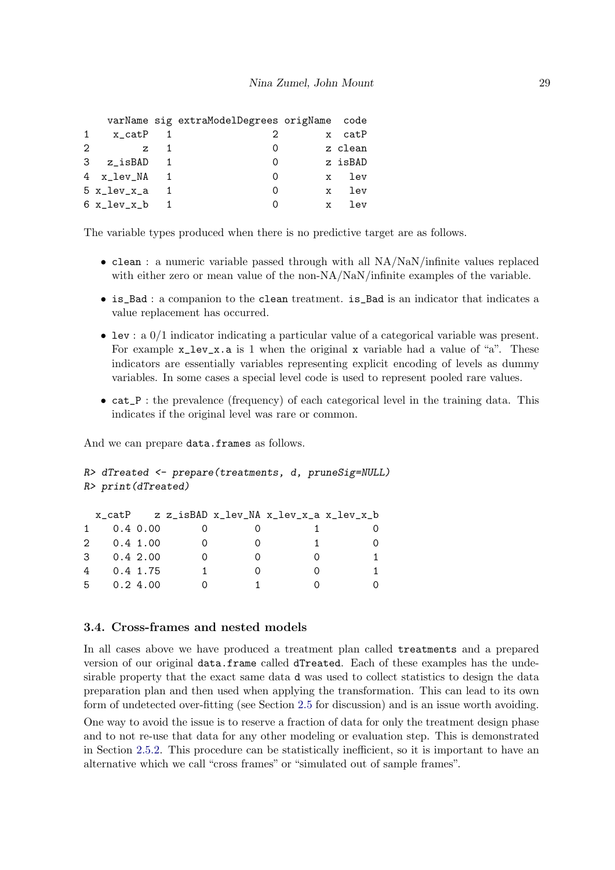|               |                             | varName sig extraModelDegrees origName code |                     |
|---------------|-----------------------------|---------------------------------------------|---------------------|
| $\mathbf{1}$  | x_catP                      | 2                                           | x catP              |
| $\mathcal{D}$ | $z = 1$                     | $\left( \right)$                            | z clean             |
|               | $3 \times iSBAD \quad 1$    | $\left( \right)$                            | z isBAD             |
|               | $4 \times \text{lev}$ NA 1  | $\left( \right)$                            | x lev               |
|               | $5 x_{av}$ x $x_{av}$ 1     | $\left( \right)$                            | x lev               |
|               | $6 \times \text{lev}_x$ b 1 |                                             | lev<br>$\mathbf{x}$ |

The variable types produced when there is no predictive target are as follows.

- clean : a numeric variable passed through with all NA/NaN/infinite values replaced with either zero or mean value of the non-NA/NaN/infinite examples of the variable.
- is\_Bad : a companion to the clean treatment. is\_Bad is an indicator that indicates a value replacement has occurred.
- lev : a  $0/1$  indicator indicating a particular value of a categorical variable was present. For example  $x_{\text{lev},x}$  a is 1 when the original x variable had a value of "a". These indicators are essentially variables representing explicit encoding of levels as dummy variables. In some cases a special level code is used to represent pooled rare values.
- cat\_P : the prevalence (frequency) of each categorical level in the training data. This indicates if the original level was rare or common.

And we can prepare data.frames as follows.

```
R> dTreated <- prepare(treatments, d, pruneSig=NULL)
R> print(dTreated)
```

|                | x_catP                |               |  | z z_isBAD x_lev_NA x_lev_x_a x_lev_x_b |  |
|----------------|-----------------------|---------------|--|----------------------------------------|--|
|                | $1 \quad$<br>0.4 0.00 |               |  |                                        |  |
|                | 2 0.4 1.00            |               |  |                                        |  |
|                | $3 \t 0.4 \t 2.00$    |               |  |                                        |  |
| $\overline{4}$ |                       | $0.4 \; 1.75$ |  |                                        |  |
| 5              |                       | 0.24.00       |  |                                        |  |

# <span id="page-28-0"></span>3.4. Cross-frames and nested models

In all cases above we have produced a treatment plan called treatments and a prepared version of our original data.frame called dTreated. Each of these examples has the undesirable property that the exact same data d was used to collect statistics to design the data preparation plan and then used when applying the transformation. This can lead to its own form of undetected over-fitting (see Section [2.5](#page-12-0) for discussion) and is an issue worth avoiding. One way to avoid the issue is to reserve a fraction of data for only the treatment design phase and to not re-use that data for any other modeling or evaluation step. This is demonstrated in Section [2.5.2.](#page-15-0) This procedure can be statistically inefficient, so it is important to have an alternative which we call "cross frames" or "simulated out of sample frames".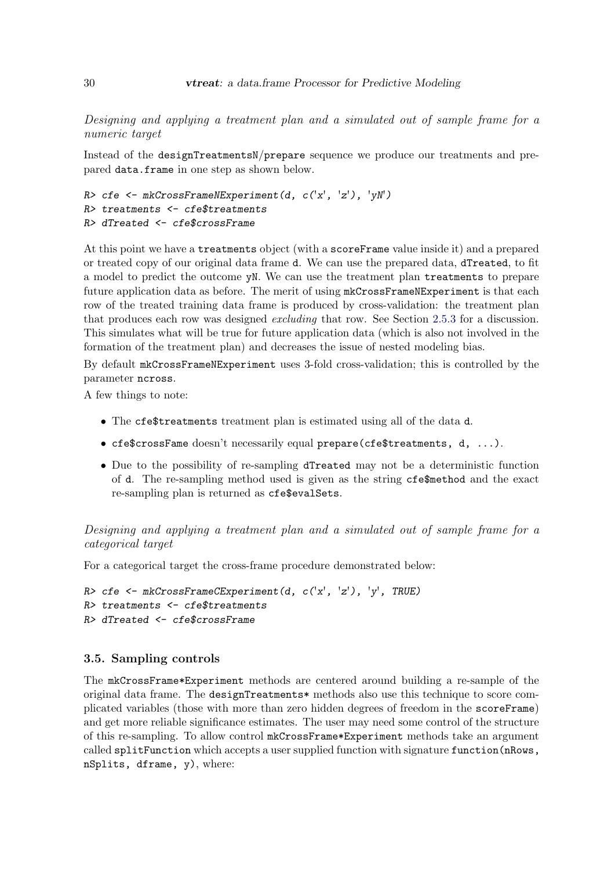Designing and applying a treatment plan and a simulated out of sample frame for a numeric target

Instead of the designTreatmentsN/prepare sequence we produce our treatments and prepared data.frame in one step as shown below.

```
R> cfe <- mkCrossFrameNExperiment(d, c('x', 'z'), 'yN')
R> treatments <- cfe$treatments
R> dTreated <- cfe$crossFrame
```
At this point we have a treatments object (with a scoreFrame value inside it) and a prepared or treated copy of our original data frame d. We can use the prepared data, dTreated, to fit a model to predict the outcome yN. We can use the treatment plan treatments to prepare future application data as before. The merit of using  $m$ **kCrossFrameNExperiment** is that each row of the treated training data frame is produced by cross-validation: the treatment plan that produces each row was designed excluding that row. See Section [2.5.3](#page-17-0) for a discussion. This simulates what will be true for future application data (which is also not involved in the formation of the treatment plan) and decreases the issue of nested modeling bias.

By default mkCrossFrameNExperiment uses 3-fold cross-validation; this is controlled by the parameter ncross.

A few things to note:

- The cfe\$treatments treatment plan is estimated using all of the data d.
- cfe\$crossFame doesn't necessarily equal prepare(cfe\$treatments, d, ...).
- Due to the possibility of re-sampling dTreated may not be a deterministic function of d. The re-sampling method used is given as the string cfe\$method and the exact re-sampling plan is returned as cfe\$evalSets.

Designing and applying a treatment plan and a simulated out of sample frame for a categorical target

For a categorical target the cross-frame procedure demonstrated below:

```
R> cfe <- mkCrossFrameCExperiment(d, c('x', 'z'), 'y', TRUE)
R> treatments <- cfe$treatments
R> dTreated <- cfe$crossFrame
```
# 3.5. Sampling controls

The mkCrossFrame\*Experiment methods are centered around building a re-sample of the original data frame. The designTreatments\* methods also use this technique to score complicated variables (those with more than zero hidden degrees of freedom in the scoreFrame) and get more reliable significance estimates. The user may need some control of the structure of this re-sampling. To allow control mkCrossFrame\*Experiment methods take an argument called splitFunction which accepts a user supplied function with signature function(nRows, nSplits, dframe, y), where: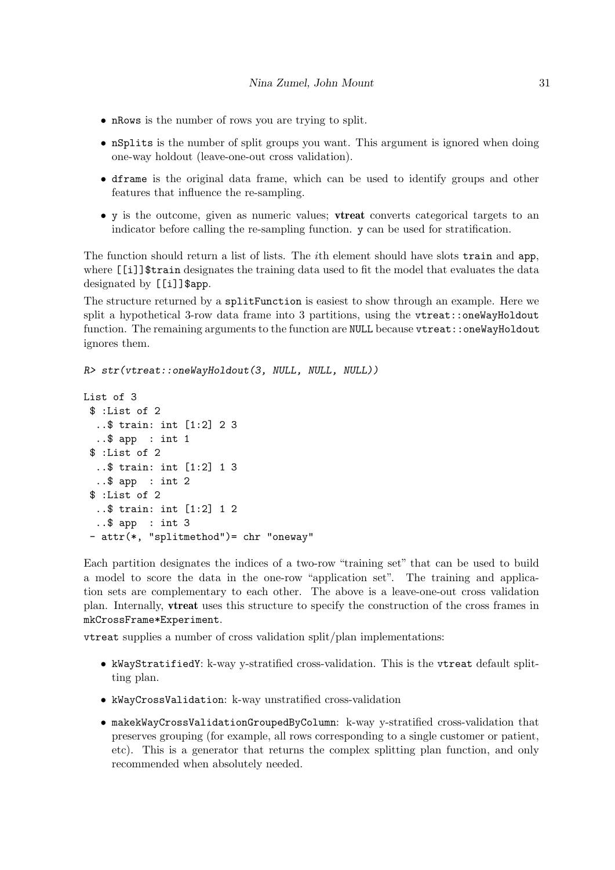- nRows is the number of rows you are trying to split.
- nSplits is the number of split groups you want. This argument is ignored when doing one-way holdout (leave-one-out cross validation).
- dframe is the original data frame, which can be used to identify groups and other features that influence the re-sampling.
- y is the outcome, given as numeric values; vtreat converts categorical targets to an indicator before calling the re-sampling function. y can be used for stratification.

The function should return a list of lists. The ith element should have slots train and app, where [[i]]\$train designates the training data used to fit the model that evaluates the data designated by [[i]] \$app.

The structure returned by a splitFunction is easiest to show through an example. Here we split a hypothetical 3-row data frame into 3 partitions, using the vtreat::oneWayHoldout function. The remaining arguments to the function are NULL because vtreat:: oneWayHoldout ignores them.

```
R> str(vtreat::oneWayHoldout(3, NULL, NULL, NULL))
```

```
List of 3
 $ :List of 2
  ..$ train: int [1:2] 2 3
  ..$ app : int 1
 $ :List of 2
  ..$ train: int [1:2] 1 3
  ..$ app : int 2
 $ :List of 2
  ..$ train: int [1:2] 1 2
  ..$ app : int 3
 - attr(*, "splitmethod")= chr "oneway"
```
Each partition designates the indices of a two-row "training set" that can be used to build a model to score the data in the one-row "application set". The training and application sets are complementary to each other. The above is a leave-one-out cross validation plan. Internally, vtreat uses this structure to specify the construction of the cross frames in mkCrossFrame\*Experiment.

vtreat supplies a number of cross validation split/plan implementations:

- kWayStratifiedY: k-way y-stratified cross-validation. This is the vtreat default splitting plan.
- kWayCrossValidation: k-way unstratified cross-validation
- makekWayCrossValidationGroupedByColumn: k-way y-stratified cross-validation that preserves grouping (for example, all rows corresponding to a single customer or patient, etc). This is a generator that returns the complex splitting plan function, and only recommended when absolutely needed.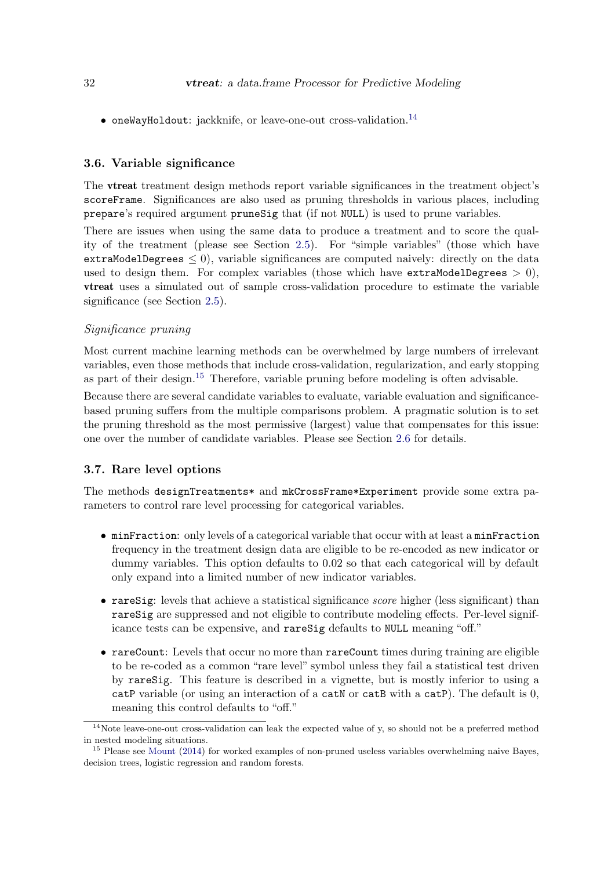• oneWayHoldout: jackknife, or leave-one-out cross-validation.<sup>[14](#page-31-1)</sup>

# <span id="page-31-0"></span>3.6. Variable significance

The vtreat treatment design methods report variable significances in the treatment object's scoreFrame. Significances are also used as pruning thresholds in various places, including prepare's required argument pruneSig that (if not NULL) is used to prune variables.

There are issues when using the same data to produce a treatment and to score the quality of the treatment (please see Section [2.5\)](#page-12-0). For "simple variables" (those which have extraModelDegrees  $\leq 0$ , variable significances are computed naively: directly on the data used to design them. For complex variables (those which have extraModelDegrees  $> 0$ ), vtreat uses a simulated out of sample cross-validation procedure to estimate the variable significance (see Section [2.5\)](#page-12-0).

#### Significance pruning

Most current machine learning methods can be overwhelmed by large numbers of irrelevant variables, even those methods that include cross-validation, regularization, and early stopping as part of their design.[15](#page-31-2) Therefore, variable pruning before modeling is often advisable.

Because there are several candidate variables to evaluate, variable evaluation and significancebased pruning suffers from the multiple comparisons problem. A pragmatic solution is to set the pruning threshold as the most permissive (largest) value that compensates for this issue: one over the number of candidate variables. Please see Section [2.6](#page-19-0) for details.

# 3.7. Rare level options

The methods designTreatments\* and mkCrossFrame\*Experiment provide some extra parameters to control rare level processing for categorical variables.

- minFraction: only levels of a categorical variable that occur with at least a minFraction frequency in the treatment design data are eligible to be re-encoded as new indicator or dummy variables. This option defaults to 0.02 so that each categorical will by default only expand into a limited number of new indicator variables.
- rareSig: levels that achieve a statistical significance *score* higher (less significant) than rareSig are suppressed and not eligible to contribute modeling effects. Per-level significance tests can be expensive, and rareSig defaults to NULL meaning "off."
- rareCount: Levels that occur no more than rareCount times during training are eligible to be re-coded as a common "rare level" symbol unless they fail a statistical test driven by rareSig. This feature is described in a vignette, but is mostly inferior to using a catP variable (or using an interaction of a catN or catB with a catP). The default is 0, meaning this control defaults to "off."

<span id="page-31-1"></span><sup>&</sup>lt;sup>14</sup>Note leave-one-out cross-validation can leak the expected value of y, so should not be a preferred method in nested modeling situations.

<span id="page-31-2"></span><sup>&</sup>lt;sup>15</sup> Please see [Mount](#page-34-16) [\(2014\)](#page-34-16) for worked examples of non-pruned useless variables overwhelming naive Bayes, decision trees, logistic regression and random forests.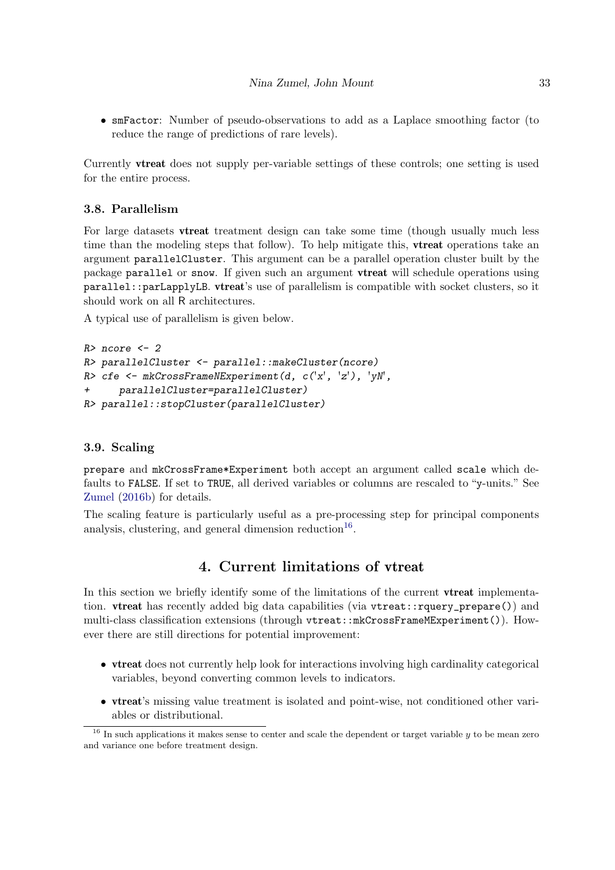• smFactor: Number of pseudo-observations to add as a Laplace smoothing factor (to reduce the range of predictions of rare levels).

Currently vtreat does not supply per-variable settings of these controls; one setting is used for the entire process.

# 3.8. Parallelism

For large datasets vtreat treatment design can take some time (though usually much less time than the modeling steps that follow). To help mitigate this, **vireat** operations take an argument parallelCluster. This argument can be a parallel operation cluster built by the package parallel or snow. If given such an argument vtreat will schedule operations using parallel::parLapplyLB. vtreat's use of parallelism is compatible with socket clusters, so it should work on all R architectures.

A typical use of parallelism is given below.

```
R> ncore <-2R> parallelCluster <- parallel::makeCluster(ncore)
R> cfe <- mkCrossFrameNExperiment(d, c('x', 'z'), 'yN',
+ parallelCluster=parallelCluster)
R> parallel::stopCluster(parallelCluster)
```
# 3.9. Scaling

prepare and mkCrossFrame\*Experiment both accept an argument called scale which defaults to FALSE. If set to TRUE, all derived variables or columns are rescaled to "y-units." See [Zumel](#page-34-3) [\(2016b\)](#page-34-3) for details.

The scaling feature is particularly useful as a pre-processing step for principal components analysis, clustering, and general dimension reduction<sup>[16](#page-32-1)</sup>.

# 4. Current limitations of vtreat

<span id="page-32-0"></span>In this section we briefly identify some of the limitations of the current **vtreat** implementation. vtreat has recently added big data capabilities (via vtreat::rquery\_prepare()) and multi-class classification extensions (through vtreat::mkCrossFrameMExperiment()). However there are still directions for potential improvement:

- vtreat does not currently help look for interactions involving high cardinality categorical variables, beyond converting common levels to indicators.
- vtreat's missing value treatment is isolated and point-wise, not conditioned other variables or distributional.

<span id="page-32-1"></span> $16$  In such applications it makes sense to center and scale the dependent or target variable y to be mean zero and variance one before treatment design.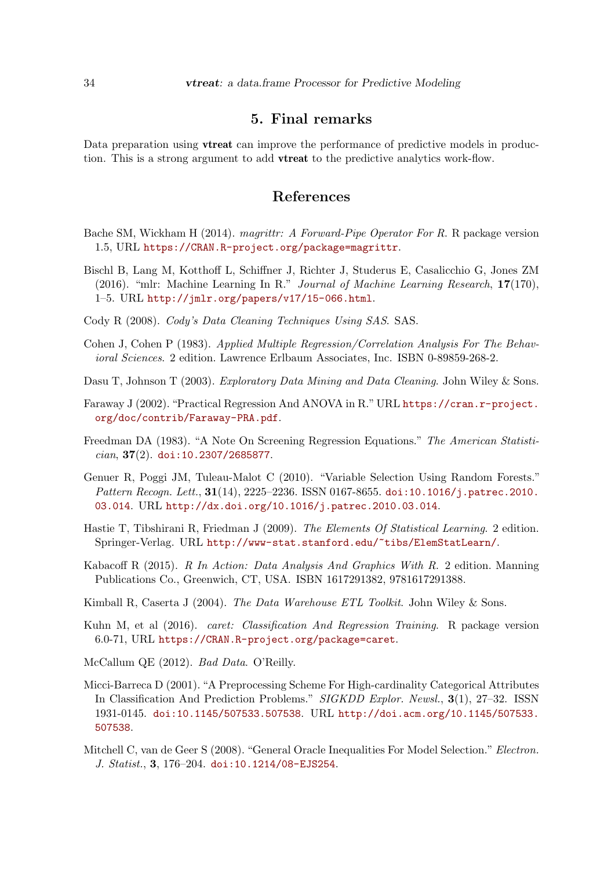# 5. Final remarks

<span id="page-33-8"></span>Data preparation using **vtreat** can improve the performance of predictive models in production. This is a strong argument to add vtreat to the predictive analytics work-flow.

# References

- <span id="page-33-11"></span>Bache SM, Wickham H (2014). magrittr: A Forward-Pipe Operator For R. R package version 1.5, URL <https://CRAN.R-project.org/package=magrittr>.
- <span id="page-33-1"></span>Bischl B, Lang M, Kotthoff L, Schiffner J, Richter J, Studerus E, Casalicchio G, Jones ZM (2016). "mlr: Machine Learning In R." Journal of Machine Learning Research, 17(170), 1–5. URL <http://jmlr.org/papers/v17/15-066.html>.
- <span id="page-33-6"></span>Cody R (2008). Cody's Data Cleaning Techniques Using SAS. SAS.
- <span id="page-33-3"></span>Cohen J, Cohen P (1983). Applied Multiple Regression/Correlation Analysis For The Behavioral Sciences. 2 edition. Lawrence Erlbaum Associates, Inc. ISBN 0-89859-268-2.
- <span id="page-33-4"></span>Dasu T, Johnson T (2003). Exploratory Data Mining and Data Cleaning. John Wiley & Sons.
- <span id="page-33-14"></span>Faraway J (2002). "Practical Regression And ANOVA in R." URL [https://cran.r-project.](https://cran.r-project.org/doc/contrib/Faraway-PRA.pdf) [org/doc/contrib/Faraway-PRA.pdf](https://cran.r-project.org/doc/contrib/Faraway-PRA.pdf).
- <span id="page-33-13"></span>Freedman DA (1983). "A Note On Screening Regression Equations." The American Statisti $cian, 37(2)$ . [doi:10.2307/2685877](http://dx.doi.org/10.2307/2685877).
- <span id="page-33-15"></span>Genuer R, Poggi JM, Tuleau-Malot C (2010). "Variable Selection Using Random Forests." Pattern Recogn. Lett., 31(14), 2225-2236. ISSN 0167-8655. [doi:10.1016/j.patrec.2010.](http://dx.doi.org/10.1016/j.patrec.2010.03.014) [03.014](http://dx.doi.org/10.1016/j.patrec.2010.03.014). URL <http://dx.doi.org/10.1016/j.patrec.2010.03.014>.
- <span id="page-33-10"></span>Hastie T, Tibshirani R, Friedman J (2009). The Elements Of Statistical Learning. 2 edition. Springer-Verlag. URL <http://www-stat.stanford.edu/~tibs/ElemStatLearn/>.
- <span id="page-33-2"></span>Kabacoff R (2015). R In Action: Data Analysis And Graphics With R. 2 edition. Manning Publications Co., Greenwich, CT, USA. ISBN 1617291382, 9781617291388.
- <span id="page-33-5"></span>Kimball R, Caserta J (2004). The Data Warehouse ETL Toolkit. John Wiley & Sons.
- <span id="page-33-0"></span>Kuhn M, et al (2016). caret: Classification And Regression Training. R package version 6.0-71, URL <https://CRAN.R-project.org/package=caret>.
- <span id="page-33-7"></span>McCallum QE (2012). Bad Data. O'Reilly.
- <span id="page-33-9"></span>Micci-Barreca D (2001). "A Preprocessing Scheme For High-cardinality Categorical Attributes In Classification And Prediction Problems." SIGKDD Explor. Newsl., 3(1), 27–32. ISSN 1931-0145. [doi:10.1145/507533.507538](http://dx.doi.org/10.1145/507533.507538). URL [http://doi.acm.org/10.1145/507533.](http://doi.acm.org/10.1145/507533.507538) [507538](http://doi.acm.org/10.1145/507533.507538).
- <span id="page-33-12"></span>Mitchell C, van de Geer S (2008). "General Oracle Inequalities For Model Selection." Electron. J. Statist., 3, 176–204. [doi:10.1214/08-EJS254](http://dx.doi.org/10.1214/08-EJS254).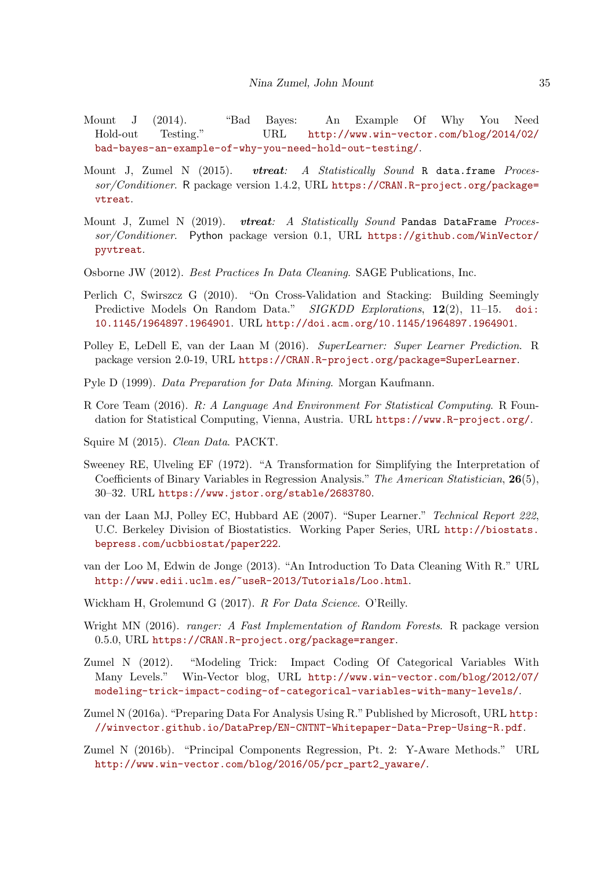- <span id="page-34-16"></span>Mount J (2014). "Bad Bayes: An Example Of Why You Need Hold-out Testing." URL [http://www.win-vector.com/blog/2014/02/](http://www.win-vector.com/blog/2014/02/bad-bayes-an-example-of-why-you-need-hold-out-testing/) [bad-bayes-an-example-of-why-you-need-hold-out-testing/](http://www.win-vector.com/blog/2014/02/bad-bayes-an-example-of-why-you-need-hold-out-testing/).
- <span id="page-34-1"></span>Mount J, Zumel N (2015). vtreat: A Statistically Sound R data.frame Proces $sor/Conditioner$ . R package version 1.4.2, URL [https://CRAN.R-project.org/package=](https://CRAN.R-project.org/package=vtreat) [vtreat](https://CRAN.R-project.org/package=vtreat).
- <span id="page-34-2"></span>Mount J, Zumel N (2019). vtreat: A Statistically Sound Pandas DataFrame Processor/Conditioner. Python package version 0.1, URL [https://github.com/WinVector/](https://github.com/WinVector/pyvtreat) [pyvtreat](https://github.com/WinVector/pyvtreat).
- <span id="page-34-9"></span>Osborne JW (2012). Best Practices In Data Cleaning. SAGE Publications, Inc.
- <span id="page-34-15"></span>Perlich C, Swirszcz G (2010). "On Cross-Validation and Stacking: Building Seemingly Predictive Models On Random Data." SIGKDD Explorations, 12(2), 11–15. [doi:](http://dx.doi.org/10.1145/1964897.1964901) [10.1145/1964897.1964901](http://dx.doi.org/10.1145/1964897.1964901). URL <http://doi.acm.org/10.1145/1964897.1964901>.
- <span id="page-34-5"></span>Polley E, LeDell E, van der Laan M (2016). SuperLearner: Super Learner Prediction. R package version 2.0-19, URL <https://CRAN.R-project.org/package=SuperLearner>.
- <span id="page-34-8"></span>Pyle D (1999). Data Preparation for Data Mining. Morgan Kaufmann.
- <span id="page-34-0"></span>R Core Team (2016). R: A Language And Environment For Statistical Computing. R Foundation for Statistical Computing, Vienna, Austria. URL <https://www.R-project.org/>.
- <span id="page-34-10"></span>Squire M (2015). Clean Data. PACKT.
- <span id="page-34-11"></span>Sweeney RE, Ulveling EF (1972). "A Transformation for Simplifying the Interpretation of Coefficients of Binary Variables in Regression Analysis." The American Statistician, 26(5), 30–32. URL <https://www.jstor.org/stable/2683780>.
- <span id="page-34-14"></span>van der Laan MJ, Polley EC, Hubbard AE (2007). "Super Learner." Technical Report 222, U.C. Berkeley Division of Biostatistics. Working Paper Series, URL [http://biostats.](http://biostats.bepress.com/ucbbiostat/paper222) [bepress.com/ucbbiostat/paper222](http://biostats.bepress.com/ucbbiostat/paper222).
- <span id="page-34-6"></span>van der Loo M, Edwin de Jonge (2013). "An Introduction To Data Cleaning With R." URL <http://www.edii.uclm.es/~useR-2013/Tutorials/Loo.html>.
- <span id="page-34-4"></span>Wickham H, Grolemund G (2017). R For Data Science. O'Reilly.
- <span id="page-34-13"></span>Wright MN (2016). *ranger: A Fast Implementation of Random Forests.* R package version 0.5.0, URL <https://CRAN.R-project.org/package=ranger>.
- <span id="page-34-12"></span>Zumel N (2012). "Modeling Trick: Impact Coding Of Categorical Variables With Many Levels." Win-Vector blog, URL [http://www.win-vector.com/blog/2012/07/](http://www.win-vector.com/blog/2012/07/modeling-trick-impact-coding-of-categorical-variables-with-many-levels/) [modeling-trick-impact-coding-of-categorical-variables-with-many-levels/](http://www.win-vector.com/blog/2012/07/modeling-trick-impact-coding-of-categorical-variables-with-many-levels/).
- <span id="page-34-7"></span>Zumel N (2016a). "Preparing Data For Analysis Using R." Published by Microsoft, URL [http:](http://winvector.github.io/DataPrep/EN-CNTNT-Whitepaper-Data-Prep-Using-R.pdf) [//winvector.github.io/DataPrep/EN-CNTNT-Whitepaper-Data-Prep-Using-R.pdf](http://winvector.github.io/DataPrep/EN-CNTNT-Whitepaper-Data-Prep-Using-R.pdf).
- <span id="page-34-3"></span>Zumel N (2016b). "Principal Components Regression, Pt. 2: Y-Aware Methods." URL [http://www.win-vector.com/blog/2016/05/pcr\\_part2\\_yaware/](http://www.win-vector.com/blog/2016/05/pcr_part2_yaware/).